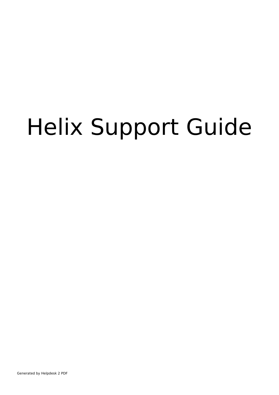# Helix Support Guide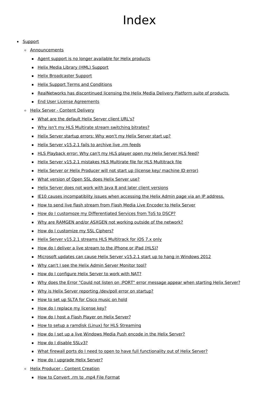## Index

#### • [Support](#page-3-0)

- [Announcements](#page-3-1)
	- **Agent support is no longer [available](#page-3-2) for Helix products**
	- Helix Media Library (HML) [Support](#page-3-3)
	- Helix [Broadcaster](#page-4-0) Support
	- Helix Support Terms and [Conditions](#page-4-1)
	- **[RealNetworks](#page-4-2) has discontinued licensing the Helix Media Delivery Platform suite of products.**
	- **End User License [Agreements](#page-5-0)**
- o Helix Server Content Deliverv
	- What are the [default](#page-5-2) Helix Server client URL's?
	- Why isn't my HLS Multirate stream [switching](#page-9-0) bitrates?
	- Helix Server [startup](#page-9-1) errors: Why won't my Helix Server start up?
	- Helix Server [v15.2.1](#page-10-0) fails to archive live .rm feeds
	- HLS [Playback](#page-11-0) error: Why can't my HLS player open my Helix Server HLS feed?
	- Helix Server v15.2.1 mistakes HLS Multirate file for HLS [Multitrack](#page-11-1) file
	- Helix Server or Helix [Producer](#page-12-0) will not start up (license key/ machine ID error)
	- What [version](#page-13-0) of Open SSL does Helix Server use?
	- Helix Server does not work with Java 8 and later client [versions](#page-13-1)
	- **IE10 causes [incompatiblity](#page-14-0) issues when accessing the Helix Admin page via an IP address.**
	- How to send live flash stream from Flash Media Live [Encoder](#page-14-1) to Helix Server
	- How do I customoze my [Differentiated](#page-15-0) Services from ToS to DSCP?
	- **Why are RAMGEN and/or ASXGEN not working outside of the [network?](#page-16-0)**
	- How do I [customize](#page-17-0) my SSL Ciphers?
	- Helix Server v15.2.1 streams HLS [Multitrack](#page-17-1) for iOS 7.x only
	- How do I deliver a live [stream](#page-18-0) to the iPhone or iPad (HLS)?
	- [Microsoft](#page-23-0) updates can cause Helix Server v15.2.1 start up to hang in Windows 2012
	- Why can't I see the Helix Admin Server [Monitor](#page-24-0) tool?
	- How do I [configure](#page-25-0) Helix Server to work with NAT?
	- Why does the Error "Could not listen on :PORT" error [message](#page-27-0) appear when starting Helix Server?
	- Why is Helix Server [reporting](#page-28-0) /dev/poll error on startup?
	- How to set up SLTA for Cisco [music](#page-29-0) on hold
	- How do I [replace](#page-31-0) my license key?
	- How do I host a Flash Player on Helix [Server?](#page-32-0)
	- **How to setup a ramdisk (Linux) for HLS [Streaming](#page-33-0)**
	- How do I set up a live [Windows](#page-34-0) Media Push encode in the Helix Server?
	- How do I disable [SSLv3?](#page-35-0)
	- What firewall ports do I need to open to have full [functionality](#page-36-0) out of Helix Server?
	- How do I [upgrade](#page-38-0) Helix Server?
- Helix [Producer](#page-40-0) Content Creation
	- How to [Convert](#page-40-1) .rm to .mp4 File Format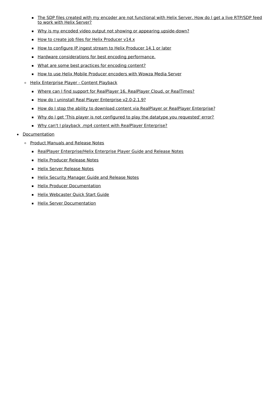- The SDP files created with my encoder are not [functional](#page-42-0) with Helix Server. How do I get a live RTP/SDP feed to work with Helix Server?
- Why is my encoded video output not showing or appearing [upside-down?](#page-45-0)
- How to create job files for Helix [Producer](#page-46-0) v14.x
- How to [configure](#page-48-0) IP ingest stream to Helix Producer 14.1 or later
- Hardware [considerations](#page-51-0) for best encoding performance.
- What are some best practices for [encoding](#page-52-0) content?
- How to use Helix Mobile Producer [encoders](#page-55-0) with Wowza Media Server
- Helix [Enterprise](#page-56-0) Player Content Playback
	- Where can I find support for RealPlayer 16, RealPlayer Cloud, or [RealTimes?](#page-56-1)
	- How do I uninstall Real Player Enterprise [v2.0-2.1.9?](#page-56-2)
	- How do I stop the ability to download content via RealPlayer or RealPlayer [Enterprise?](#page-58-0)
	- Why do I get 'This player is not [configured](#page-59-0) to play the datatype you requested' error?
	- Why can't I playback .mp4 content with RealPlayer [Enterprise?](#page-60-0)
- [Documentation](#page-60-1)
	- Product [Manuals](#page-60-2) and Release Notes
		- **RealPlayer [Enterprise/Helix](#page-60-3) Enterprise Player Guide and Release Notes**
		- **Helix [Producer](#page-60-4) Release Notes**
		- **Helix Server [Release](#page-60-5) Notes**
		- **Helix Security [Manager](#page-61-0) Guide and Release Notes**
		- **Helix Producer [Documentation](#page-61-1)**
		- **Helix [Webcaster](#page-61-2) Quick Start Guide**
		- **Helix Server [Documentation](#page-61-3)**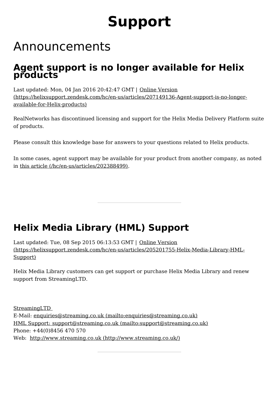## **Support**

## <span id="page-3-1"></span><span id="page-3-0"></span>Announcements

## <span id="page-3-2"></span>**Agent support is no longer available for Helix products**

Last updated: Mon, 04 Jan 2016 20:42:47 GMT | Online Version [\(https://helixsupport.zendesk.com/hc/en-us/articles/207149136-Agent-support-is-no-longer](https://helixsupport.zendesk.com/hc/en-us/articles/207149136-Agent-support-is-no-longer-available-for-Helix-products)available-for-Helix-products)

RealNetworks has discontinued licensing and support for the Helix Media Delivery Platform suite of products.

Please consult this knowledge base for answers to your questions related to Helix products.

In some cases, agent support may be available for your product from another company, as noted in this article [\(/hc/en-us/articles/202388499\)](http://localhost:1337/hc/en-us/articles/202388499).

## <span id="page-3-3"></span>**Helix Media Library (HML) Support**

Last updated: Tue, 08 Sep 2015 06:13:53 GMT | Online Version [\(https://helixsupport.zendesk.com/hc/en-us/articles/205201755-Helix-Media-Library-HML-](https://helixsupport.zendesk.com/hc/en-us/articles/205201755-Helix-Media-Library-HML-Support)Support)

Helix Media Library customers can get support or purchase Helix Media Library and renew support from StreamingLTD.

StreamingLTD E-Mail: enquiries@streaming.co.uk [\(mailto:enquiries@streaming.co.uk\)](mailto:enquiries@streaming.co.uk) HML Support: support@streaming.co.uk [\(mailto:support@streaming.co.uk\)](mailto:support@streaming.co.uk) Phone: +44(0)8456 470 570 Web: http://www.streaming.co.uk [\(http://www.streaming.co.uk/\)](http://www.streaming.co.uk/)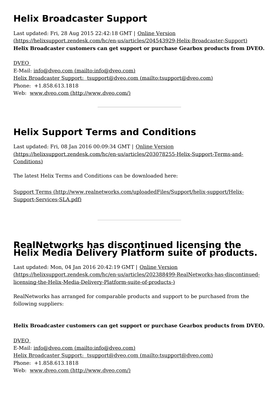## <span id="page-4-0"></span>**Helix Broadcaster Support**

Last updated: Fri, 28 Aug 2015 22:42:18 GMT | Online Version [\(https://helixsupport.zendesk.com/hc/en-us/articles/204543929-Helix-Broadcaster-Support\)](https://helixsupport.zendesk.com/hc/en-us/articles/204543929-Helix-Broadcaster-Support) **Helix Broadcaster customers can get support or purchase Gearbox products from DVEO.**

DVEO E-Mail: info@dveo.com [\(mailto:info@dveo.com\)](mailto:info@dveo.com) Helix Broadcaster Support: tsupport@dveo.com [\(mailto:tsupport@dveo.com\)](mailto:tsupport@dveo.com) Phone: +1.858.613.1818 Web: www.dveo.com [\(http://www.dveo.com/\)](http://www.dveo.com/)

## <span id="page-4-1"></span>**Helix Support Terms and Conditions**

Last updated: Fri, 08 Jan 2016 00:09:34 GMT | Online Version [\(https://helixsupport.zendesk.com/hc/en-us/articles/203078255-Helix-Support-Terms-and-](https://helixsupport.zendesk.com/hc/en-us/articles/203078255-Helix-Support-Terms-and-Conditions)Conditions)

The latest Helix Terms and Conditions can be downloaded here:

Support Terms [\(http://www.realnetworks.com/uploadedFiles/Support/helix-support/Helix-](http://www.realnetworks.com/uploadedFiles/Support/helix-support/Helix-Support-Services-SLA.pdf)Support-Services-SLA.pdf)

## <span id="page-4-2"></span>**RealNetworks has discontinued licensing the Helix Media Delivery Platform suite of products.**

Last updated: Mon, 04 Jan 2016 20:42:19 GMT | Online Version [\(https://helixsupport.zendesk.com/hc/en-us/articles/202388499-RealNetworks-has-discontinued](https://helixsupport.zendesk.com/hc/en-us/articles/202388499-RealNetworks-has-discontinued-licensing-the-Helix-Media-Delivery-Platform-suite-of-products-)licensing-the-Helix-Media-Delivery-Platform-suite-of-products-)

RealNetworks has arranged for comparable products and support to be purchased from the following suppliers:

#### **Helix Broadcaster customers can get support or purchase Gearbox products from DVEO.**

DVEO E-Mail: info@dveo.com [\(mailto:info@dveo.com\)](mailto:info@dveo.com) Helix Broadcaster Support: tsupport@dveo.com [\(mailto:tsupport@dveo.com\)](mailto:tsupport@dveo.com) Phone: +1.858.613.1818 Web: www.dveo.com [\(http://www.dveo.com/\)](http://www.dveo.com/)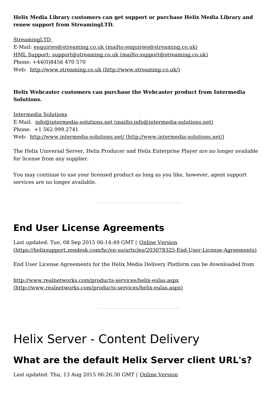#### **Helix Media Library customers can get support or purchase Helix Media Library and renew support from StreamingLTD.**

StreamingLTD E-Mail: enquiries@streaming.co.uk [\(mailto:enquiries@streaming.co.uk\)](mailto:enquiries@streaming.co.uk) HML Support: support@streaming.co.uk [\(mailto:support@streaming.co.uk\)](mailto:support@streaming.co.uk) Phone: +44(0)8456 470 570 Web: http://www.streaming.co.uk [\(http://www.streaming.co.uk/\)](http://www.streaming.co.uk/)

#### **Helix Webcaster customers can purchase the Webcaster product from Intermedia Solutions.**

Intermedia Solutions E-Mail: info@intermedia-solutions.net [\(mailto:info@intermedia-solutions.net\)](mailto:info@intermedia-solutions.net) Phone: +1 562.999.2741 Web: http://www.intermedia-solutions.net/ [\(http://www.intermedia-solutions.net/\)](http://www.intermedia-solutions.net/)

The Helix Universal Server, Helix Producer and Helix Enterprise Player are no longer available for license from any supplier.

You may continue to use your licensed product as long as you like, however, agent support services are no longer available.

## <span id="page-5-0"></span>**End User License Agreements**

Last updated: Tue, 08 Sep 2015 06:14:49 GMT | Online Version [\(https://helixsupport.zendesk.com/hc/en-us/articles/203078325-End-User-License-Agreements\)](https://helixsupport.zendesk.com/hc/en-us/articles/203078325-End-User-License-Agreements)

End User License Agreements for the Helix Media Delivery Platform can be downloaded from

<http://www.realnetworks.com/products-services/helix-eulas.aspx> (http://www.realnetworks.com/products-services/helix-eulas.aspx)

## <span id="page-5-1"></span>Helix Server - Content Delivery

## <span id="page-5-2"></span>**What are the default Helix Server client URL's?**

Last updated: Thu, 13 Aug 2015 06:26:30 GMT | Online Version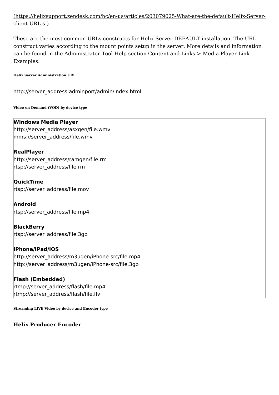#### [\(https://helixsupport.zendesk.com/hc/en-us/articles/203079025-What-are-the-default-Helix-Server](https://helixsupport.zendesk.com/hc/en-us/articles/203079025-What-are-the-default-Helix-Server-client-URL-s-)client-URL-s-)

These are the most common URLs constructs for Helix Server DEFAULT installation. The URL construct varies according to the mount points setup in the server. More details and information can be found in the Administrator Tool Help section Content and Links > Media Player Link Examples.

**Helix Server Administration URL**

http://server\_address:adminport/admin/index.html

**Video on Demand (VOD) by device type**

#### **Windows Media Player**

http://server\_address/asxgen/file.wmv mms://server\_address/file.wmv

**RealPlayer** http://server\_address/ramgen/file.rm rtsp://server\_address/file.rm

**QuickTime** rtsp://server\_address/file.mov

**Android** rtsp://server\_address/file.mp4

**BlackBerry** rtsp://server\_address/file.3gp

**iPhone/iPad/iOS** http://server\_address/m3ugen/iPhone-src/file.mp4 http://server\_address/m3ugen/iPhone-src/file.3gp

#### **Flash (Embedded)** rtmp://server\_address/flash/file.mp4 rtmp://server\_address/flash/file.flv

**Streaming LIVE Video by device and Encoder type**

**Helix Producer Encoder**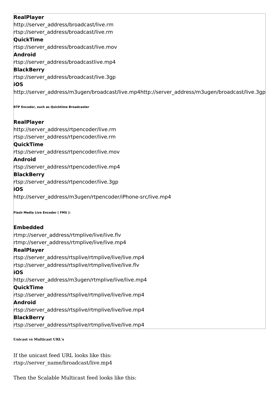#### **RealPlayer** http://server\_address/broadcast/live.rm rtsp://server\_address/broadcast/live.rm **QuickTime** rtsp://server\_address/broadcast/live.mov **Android** rtsp://server\_address/broadcastlive.mp4 **BlackBerry** rtsp://server\_address/broadcast/live.3gp **iOS** http://server\_address/m3ugen/broadcast/live.mp4http://server\_address/m3ugen/broadcast/live.3gp

**RTP Encoder, such as Quicktime Broadcaster**

#### **RealPlayer**

http://server\_address/rtpencoder/live.rm rtsp://server\_address/rtpencoder/live.rm

#### **QuickTime**

rtsp://server\_address/rtpencoder/live.mov

#### **Android**

rtsp://server\_address/rtpencoder/live.mp4

#### **BlackBerry**

rtsp://server\_address/rtpencoder/live.3gp

#### **iOS**

http://server\_address/m3ugen/rtpencoder/iPhone-src/live.mp4

**Flash Media Live Encoder ( FMS ):**

#### **Embedded**

rtmp://server\_address/rtmplive/live/live.flv rtmp://server\_address/rtmplive/live/live.mp4

#### **RealPlayer**

rtsp://server\_address/rtsplive/rtmplive/live/live.mp4 rtsp://server\_address/rtsplive/rtmplive/live/live.flv **iOS** http://server\_address/m3ugen/rtmplive/live/live.mp4 **QuickTime** rtsp://server\_address/rtsplive/rtmplive/live/live.mp4 **Android** rtsp://server\_address/rtsplive/rtmplive/live/live.mp4 **BlackBerry**

rtsp://server\_address/rtsplive/rtmplive/live/live.mp4

**Unicast vs Multicast URL's**

If the unicast feed URL looks like this: rtsp://server\_name/broadcast/live.mp4

Then the Scalable Multicast feed looks like this: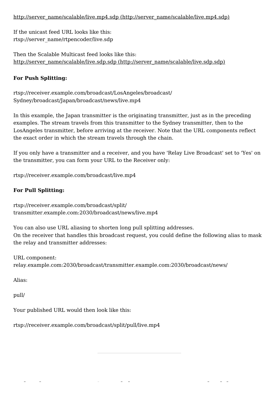#### http://server\_name/scalable/live.mp4.sdp [\(http://server\\_name/scalable/live.mp4.sdp\)](http://server_name/scalable/live.mp4.sdp)

If the unicast feed URL looks like this: rtsp://server\_name/rtpencoder/live.sdp

Then the Scalable Multicast feed looks like this: http://server\_name/scalable/live.sdp.sdp [\(http://server\\_name/scalable/live.sdp.sdp\)](http://server_name/scalable/live.sdp.sdp)

#### **For Push Splitting:**

rtsp://receiver.example.com/broadcast/LosAngeles/broadcast/ Sydney/broadcast/Japan/broadcast/news/live.mp4

In this example, the Japan transmitter is the originating transmitter, just as in the preceding examples. The stream travels from this transmitter to the Sydney transmitter, then to the LosAngeles transmitter, before arriving at the receiver. Note that the URL components reflect the exact order in which the stream travels through the chain.

If you only have a transmitter and a receiver, and you have 'Relay Live Broadcast' set to 'Yes' on the transmitter, you can form your URL to the Receiver only:

rtsp://receiver.example.com/broadcast/live.mp4

#### **For Pull Splitting:**

rtsp://receiver.example.com/broadcast/split/ transmitter.example.com:2030/broadcast/news/live.mp4

You can also use URL aliasing to shorten long pull splitting addresses. On the receiver that handles this broadcast request, you could define the following alias to mask the relay and transmitter addresses:

URL component: relay.example.com:2030/broadcast/transmitter.example.com:2030/broadcast/news/

Alias:

pull/

Your published URL would then look like this:

rtsp://receiver.example.com/broadcast/split/pull/live.mp4

**Why isn't my HLS Multirate stream switching**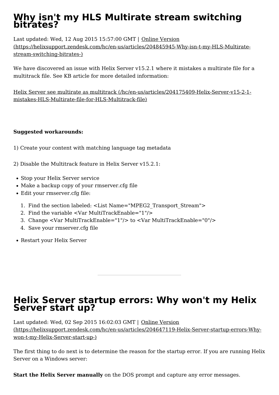## <span id="page-9-0"></span>**Why isn't my HLS Multirate stream switching bitrates?**

Last updated: Wed, 12 Aug 2015 15:57:00 GMT | Online Version [\(https://helixsupport.zendesk.com/hc/en-us/articles/204845945-Why-isn-t-my-HLS-Multirate](https://helixsupport.zendesk.com/hc/en-us/articles/204845945-Why-isn-t-my-HLS-Multirate-stream-switching-bitrates-)stream-switching-bitrates-)

We have discovered an issue with Helix Server v15.2.1 where it mistakes a multirate file for a multitrack file. See KB article for more detailed information:

Helix Server see multirate as multitrack [\(/hc/en-us/articles/204175409-Helix-Server-v15-2-1](http://localhost:1337/hc/en-us/articles/204175409-Helix-Server-v15-2-1-mistakes-HLS-Multirate-file-for-HLS-Multitrack-file) mistakes-HLS-Multirate-file-for-HLS-Multitrack-file)

#### **Suggested workarounds:**

- 1) Create your content with matching language tag metadata
- 2) Disable the Multitrack feature in Helix Server v15.2.1:
- Stop your Helix Server service
- Make a backup copy of your rmserver.cfg file
- Edit your rmserver.cfg file:
	- 1. Find the section labeled: <List Name="MPEG2\_Transport\_Stream">
	- 2. Find the variable <Var MultiTrackEnable="1"/>
	- 3. Change <Var MultiTrackEnable="1"/> to <Var MultiTrackEnable="0"/>
	- 4. Save your rmserver.cfg file
- Restart your Helix Server

### <span id="page-9-1"></span>**Helix Server startup errors: Why won't my Helix Server start up?**

Last updated: Wed, 02 Sep 2015 16:02:03 GMT | Online Version [\(https://helixsupport.zendesk.com/hc/en-us/articles/204647119-Helix-Server-startup-errors-Why](https://helixsupport.zendesk.com/hc/en-us/articles/204647119-Helix-Server-startup-errors-Why-won-t-my-Helix-Server-start-up-) won-t-my-Helix-Server-start-up-)

The first thing to do next is to determine the reason for the startup error. If you are running Helix Server on a Windows server:

**Start the Helix Server manually** on the DOS prompt and capture any error messages.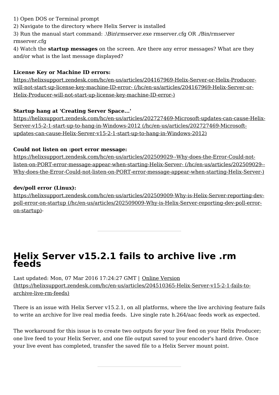- 1) Open DOS or Terminal prompt
- 2) Navigate to the directory where Helix Server is installed
- 3) Run the manual start command: .\Bin\rmserver.exe rmserver.cfg OR ./Bin/rmserver rmserver.cfg
- 4) Watch the **startup messages** on the screen. Are there any error messages? What are they and/or what is the last message displayed?

#### **License Key or Machine ID errors:**

[https://helixsupport.zendesk.com/hc/en-us/articles/204167969-Helix-Server-or-Helix-Producer](http://localhost:1337/hc/en-us/articles/204167969-Helix-Server-or-Helix-Producer-will-not-start-up-license-key-machine-ID-error-) will-not-start-up-license-key-machine-ID-error- (/hc/en-us/articles/204167969-Helix-Server-or- Helix-Producer-will-not-start-up-license-key-machine-ID-error-)

#### **Startup hang at 'Creating Server Space...'**

[https://helixsupport.zendesk.com/hc/en-us/articles/202727469-Microsoft-updates-can-cause-Helix-](http://localhost:1337/hc/en-us/articles/202727469-Microsoft-updates-can-cause-Helix-Server-v15-2-1-start-up-to-hang-in-Windows-2012)Server-v15-2-1-start-up-to-hang-in-Windows-2012 (/hc/en-us/articles/202727469-Microsoftupdates-can-cause-Helix-Server-v15-2-1-start-up-to-hang-in-Windows-2012)

#### **Could not listen on :port error message:**

[https://helixsupport.zendesk.com/hc/en-us/articles/202509029--Why-does-the-Error-Could-not](http://localhost:1337/hc/en-us/articles/202509029--Why-does-the-Error-Could-not-listen-on-PORT-error-message-appear-when-starting-Helix-Server-)listen-on-PORT-error-message-appear-when-starting-Helix-Server- (/hc/en-us/articles/202509029-- Why-does-the-Error-Could-not-listen-on-PORT-error-message-appear-when-starting-Helix-Server-)

#### **dev/poll error (Linux):**

[https://helixsupport.zendesk.com/hc/en-us/articles/202509009-Why-is-Helix-Server-reporting-dev](http://localhost:1337/hc/en-us/articles/202509009-Why-is-Helix-Server-reporting-dev-poll-error-on-startup)poll-error-on-startup (/hc/en-us/articles/202509009-Why-is-Helix-Server-reporting-dev-poll-erroron-startup)-

## <span id="page-10-0"></span>**Helix Server v15.2.1 fails to archive live .rm feeds**

Last updated: Mon, 07 Mar 2016 17:24:27 GMT | Online Version [\(https://helixsupport.zendesk.com/hc/en-us/articles/204510365-Helix-Server-v15-2-1-fails-to](https://helixsupport.zendesk.com/hc/en-us/articles/204510365-Helix-Server-v15-2-1-fails-to-archive-live-rm-feeds)archive-live-rm-feeds)

There is an issue with Helix Server v15.2.1, on all platforms, where the live archiving feature fails to write an archive for live real media feeds. Live single rate h.264/aac feeds work as expected.

The workaround for this issue is to create two outputs for your live feed on your Helix Producer; one live feed to your Helix Server, and one file output saved to your encoder's hard drive. Once your live event has completed, transfer the saved file to a Helix Server mount point.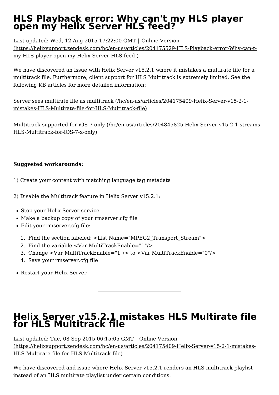## <span id="page-11-0"></span>**HLS Playback error: Why can't my HLS player open my Helix Server HLS feed?**

Last updated: Wed, 12 Aug 2015 17:22:00 GMT | Online Version [\(https://helixsupport.zendesk.com/hc/en-us/articles/204175529-HLS-Playback-error-Why-can-t](https://helixsupport.zendesk.com/hc/en-us/articles/204175529-HLS-Playback-error-Why-can-t-my-HLS-player-open-my-Helix-Server-HLS-feed-) my-HLS-player-open-my-Helix-Server-HLS-feed-)

We have discovered an issue with Helix Server v15.2.1 where it mistakes a multirate file for a multitrack file. Furthermore, client support for HLS Multitrack is extremely limited. See the following KB articles for more detailed information:

Server sees multirate file as multitrack [\(/hc/en-us/articles/204175409-Helix-Server-v15-2-1](http://localhost:1337/hc/en-us/articles/204175409-Helix-Server-v15-2-1-mistakes-HLS-Multirate-file-for-HLS-Multitrack-file) mistakes-HLS-Multirate-file-for-HLS-Multitrack-file)

Multitrack supported for iOS 7 only [\(/hc/en-us/articles/204845825-Helix-Server-v15-2-1-streams-](http://localhost:1337/hc/en-us/articles/204845825-Helix-Server-v15-2-1-streams-HLS-Multitrack-for-iOS-7-x-only) HLS-Multitrack-for-iOS-7-x-only)

#### **Suggested workarounds:**

- 1) Create your content with matching language tag metadata
- 2) Disable the Multitrack feature in Helix Server v15.2.1:
- Stop your Helix Server service
- Make a backup copy of your rmserver.cfg file
- Edit your rmserver.cfg file:
	- 1. Find the section labeled: <List Name="MPEG2\_Transport\_Stream">
	- 2. Find the variable <Var MultiTrackEnable="1"/>
	- 3. Change <Var MultiTrackEnable="1"/> to <Var MultiTrackEnable="0"/>
	- 4. Save your rmserver.cfg file
- Restart your Helix Server

## <span id="page-11-1"></span>**Helix Server v15.2.1 mistakes HLS Multirate file for HLS Multitrack file**

Last updated: Tue, 08 Sep 2015 06:15:05 GMT | Online Version [\(https://helixsupport.zendesk.com/hc/en-us/articles/204175409-Helix-Server-v15-2-1-mistakes-](https://helixsupport.zendesk.com/hc/en-us/articles/204175409-Helix-Server-v15-2-1-mistakes-HLS-Multirate-file-for-HLS-Multitrack-file) HLS-Multirate-file-for-HLS-Multitrack-file)

We have discovered and issue where Helix Server v15.2.1 renders an HLS multitrack playlist instead of an HLS multirate playlist under certain conditions.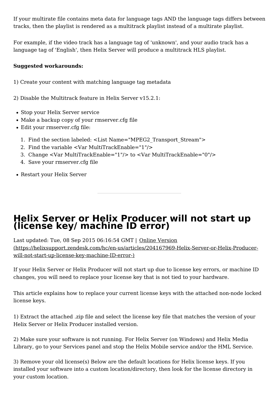If your multirate file contains meta data for language tags AND the language tags differs between tracks, then the playlist is rendered as a multitrack playlist instead of a multirate playlist.

For example, if the video track has a language tag of 'unknown', and your audio track has a language tag of 'English', then Helix Server will produce a multitrack HLS playlist.

#### **Suggested workarounds:**

1) Create your content with matching language tag metadata

2) Disable the Multitrack feature in Helix Server v15.2.1:

- Stop your Helix Server service
- Make a backup copy of your rmserver.cfg file
- Edit your rmserver.cfg file:
	- 1. Find the section labeled: <List Name="MPEG2\_Transport\_Stream">
	- 2. Find the variable <Var MultiTrackEnable="1"/>
	- 3. Change <Var MultiTrackEnable="1"/> to <Var MultiTrackEnable="0"/>
	- 4. Save your rmserver.cfg file
- Restart your Helix Server

## <span id="page-12-0"></span>**Helix Server or Helix Producer will not start up (license key/ machine ID error)**

Last updated: Tue, 08 Sep 2015 06:16:54 GMT | Online Version [\(https://helixsupport.zendesk.com/hc/en-us/articles/204167969-Helix-Server-or-Helix-Producer](https://helixsupport.zendesk.com/hc/en-us/articles/204167969-Helix-Server-or-Helix-Producer-will-not-start-up-license-key-machine-ID-error-) will-not-start-up-license-key-machine-ID-error-)

If your Helix Server or Helix Producer will not start up due to license key errors, or machine ID changes, you will need to replace your license key that is not tied to your hardware.

This article explains how to replace your current license keys with the attached non-node locked license keys.

1) Extract the attached .zip file and select the license key file that matches the version of your Helix Server or Helix Producer installed version.

2) Make sure your software is not running. For Helix Server (on Windows) and Helix Media Library, go to your Services panel and stop the Helix Mobile service and/or the HML Service.

3) Remove your old license(s) Below are the default locations for Helix license keys. If you installed your software into a custom location/directory, then look for the license directory in your custom location.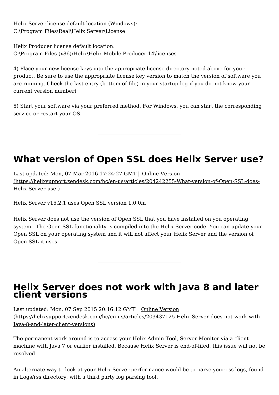Helix Server license default location (Windows): C:\Program Files\Real\Helix Server\License

Helix Producer license default location: C:\Program Files (x86)\Helix\Helix Mobile Producer 14\licenses

4) Place your new license keys into the appropriate license directory noted above for your product. Be sure to use the appropriate license key version to match the version of software you are running. Check the last entry (bottom of file) in your startup.log if you do not know your current version number)

5) Start your software via your preferred method. For Windows, you can start the corresponding service or restart your OS.

## <span id="page-13-0"></span>**What version of Open SSL does Helix Server use?**

Last updated: Mon, 07 Mar 2016 17:24:27 GMT | Online Version [\(https://helixsupport.zendesk.com/hc/en-us/articles/204242255-What-version-of-Open-SSL-does-](https://helixsupport.zendesk.com/hc/en-us/articles/204242255-What-version-of-Open-SSL-does-Helix-Server-use-) Helix-Server-use-)

Helix Server v15.2.1 uses Open SSL version 1.0.0m

Helix Server does not use the version of Open SSL that you have installed on you operating system. The Open SSL functionality is compiled into the Helix Server code. You can update your Open SSL on your operating system and it will not affect your Helix Server and the version of Open SSL it uses.

## <span id="page-13-1"></span>**Helix Server does not work with Java 8 and later client versions**

Last updated: Mon, 07 Sep 2015 20:16:12 GMT | Online Version [\(https://helixsupport.zendesk.com/hc/en-us/articles/203437125-Helix-Server-does-not-work-with-](https://helixsupport.zendesk.com/hc/en-us/articles/203437125-Helix-Server-does-not-work-with-Java-8-and-later-client-versions)Java-8-and-later-client-versions)

The permanent work around is to access your Helix Admin Tool, Server Monitor via a client machine with Java 7 or earlier installed. Because Helix Server is end-of-lifed, this issue will not be resolved.

An alternate way to look at your Helix Server performance would be to parse your rss logs, found in Logs/rss directory, with a third party log parsing tool.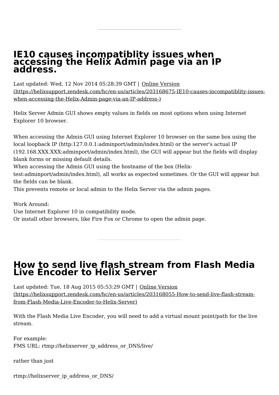### <span id="page-14-0"></span>**IE10 causes incompatiblity issues when accessing the Helix Admin page via an IP address.**

Last updated: Wed, 12 Nov 2014 05:28:39 GMT | Online Version [\(https://helixsupport.zendesk.com/hc/en-us/articles/203168675-IE10-causes-incompatiblity-issues](https://helixsupport.zendesk.com/hc/en-us/articles/203168675-IE10-causes-incompatiblity-issues-when-accessing-the-Helix-Admin-page-via-an-IP-address-) when-accessing-the-Helix-Admin-page-via-an-IP-address-)

Helix Server Admin GUI shows empty values in fields on most options when using Internet Explorer 10 browser.

When accessing the Admin GUI using Internet Explorer 10 browser on the same box using the local loopback IP (http:127.0.0.1:adminport/admin/index.html) or the server's actual IP (192.168.XXX.XXX:adminport/admin/index.html), the GUI will appear but the fields will display blank forms or missing default details.

When accessing the Admin GUI using the hostname of the box (Helix-

test:adminport/admin/index.html), all works as expected sometimes. Or the GUI will appear but the fields can be blank.

This prevents remote or local admin to the Helix Server via the admin pages.

Work Around:

Use Internet Explorer 10 in compatibility mode.

Or install other browsers, like Fire Fox or Chrome to open the admin page.

## <span id="page-14-1"></span>**How to send live flash stream from Flash Media Live Encoder to Helix Server**

Last updated: Tue, 18 Aug 2015 05:53:29 GMT | Online Version [\(https://helixsupport.zendesk.com/hc/en-us/articles/203168055-How-to-send-live-flash-stream](https://helixsupport.zendesk.com/hc/en-us/articles/203168055-How-to-send-live-flash-stream-from-Flash-Media-Live-Encoder-to-Helix-Server)from-Flash-Media-Live-Encoder-to-Helix-Server)

With the Flash Media Live Encoder, you will need to add a virtual mount point/path for the live stream.

For example: FMS URL: rtmp://helixserver\_ip\_address\_or\_DNS/live/

rather than just

rtmp://helixserver\_ip\_address\_or\_DNS/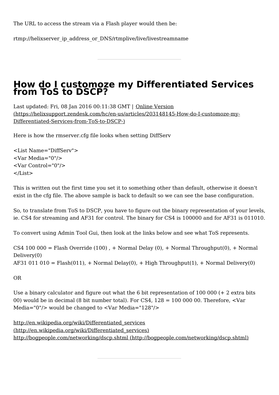The URL to access the stream via a Flash player would then be:

rtmp://helixserver\_ip\_address\_or\_DNS/rtmplive/live/livestreamname

## <span id="page-15-0"></span>**How do I customoze my Differentiated Services from ToS to DSCP?**

Last updated: Fri, 08 Jan 2016 00:11:38 GMT | Online Version [\(https://helixsupport.zendesk.com/hc/en-us/articles/203148145-How-do-I-customoze-my-](https://helixsupport.zendesk.com/hc/en-us/articles/203148145-How-do-I-customoze-my-Differentiated-Services-from-ToS-to-DSCP-) Differentiated-Services-from-ToS-to-DSCP-)

Here is how the rmserver.cfg file looks when setting DiffServ

<List Name="DiffServ"> <Var Media="0"/> <Var Control="0"/>  $\langle$ List $\rangle$ 

This is written out the first time you set it to something other than default, otherwise it doesn't exist in the cfg file. The above sample is back to default so we can see the base configuration.

So, to translate from ToS to DSCP, you have to figure out the binary representation of your levels, ie. CS4 for streaming and AF31 for control. The binary for CS4 is 100000 and for AF31 is 011010.

To convert using Admin Tool Gui, then look at the links below and see what ToS represents.

CS4 100 000 = Flash Override (100), + Normal Delay (0), + Normal Throughput(0), + Normal Delivery(0)  $AF31 011 010 = Flash(011)$ , + Normal Delay(0), + High Throughput(1), + Normal Delivery(0)

OR

Use a binary calculator and figure out what the 6 bit representation of 100 000 (+ 2 extra bits 00) would be in decimal (8 bit number total). For CS4,  $128 = 1000000$ . Therefore,  $\leq$ Var Media="0"/> would be changed to <Var Media="128"/>

http://en.wikipedia.org/wiki/Differentiated\_services [\(http://en.wikipedia.org/wiki/Differentiated\\_services\)](http://en.wikipedia.org/wiki/Differentiated_services) http://bogpeople.com/networking/dscp.shtml [\(http://bogpeople.com/networking/dscp.shtml\)](http://bogpeople.com/networking/dscp.shtml)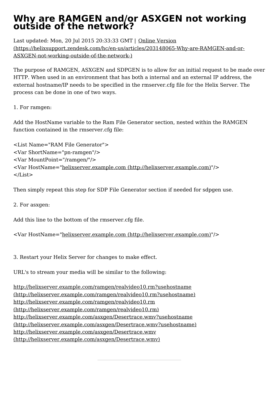## <span id="page-16-0"></span>**Why are RAMGEN and/or ASXGEN not working outside of the network?**

Last updated: Mon, 20 Jul 2015 20:33:33 GMT | Online Version [\(https://helixsupport.zendesk.com/hc/en-us/articles/203148065-Why-are-RAMGEN-and-or-](https://helixsupport.zendesk.com/hc/en-us/articles/203148065-Why-are-RAMGEN-and-or-ASXGEN-not-working-outside-of-the-network-)ASXGEN-not-working-outside-of-the-network-)

The purpose of RAMGEN, ASXGEN and SDPGEN is to allow for an initial request to be made over HTTP. When used in an environment that has both a internal and an external IP address, the external hostname/IP needs to be specified in the rmserver.cfg file for the Helix Server. The process can be done in one of two ways.

1. For ramgen:

Add the HostName variable to the Ram File Generator section, nested within the RAMGEN function contained in the rmserver.cfg file:

<List Name="RAM File Generator"> <Var ShortName="pn-ramgen"/> <Var MountPoint="/ramgen/"/> <Var HostName="helixserver.example.com [\(http://helixserver.example.com\)](http://helixserver.example.com)"/> </List>

Then simply repeat this step for SDP File Generator section if needed for sdpgen use.

2. For asxgen:

Add this line to the bottom of the rmserver.cfg file.

<Var HostName="helixserver.example.com [\(http://helixserver.example.com\)](http://helixserver.example.com)"/>

3. Restart your Helix Server for changes to make effect.

URL's to stream your media will be similar to the following:

<http://helixserver.example.com/ramgen/realvideo10.rm?usehostname> (http://helixserver.example.com/ramgen/realvideo10.rm?usehostname) <http://helixserver.example.com/ramgen/realvideo10.rm> (http://helixserver.example.com/ramgen/realvideo10.rm) <http://helixserver.example.com/asxgen/Desertrace.wmv?usehostname> (http://helixserver.example.com/asxgen/Desertrace.wmv?usehostname) <http://helixserver.example.com/asxgen/Desertrace.wmv> (http://helixserver.example.com/asxgen/Desertrace.wmv)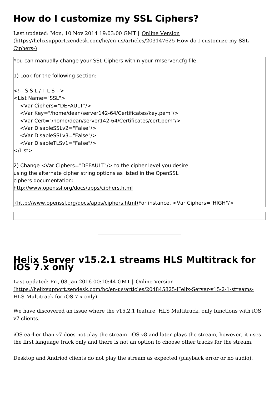## <span id="page-17-0"></span>**How do I customize my SSL Ciphers?**

Last updated: Mon, 10 Nov 2014 19:03:00 GMT | Online Version [\(https://helixsupport.zendesk.com/hc/en-us/articles/203147625-How-do-I-customize-my-SSL-](https://helixsupport.zendesk.com/hc/en-us/articles/203147625-How-do-I-customize-my-SSL-Ciphers-)Ciphers-)

```
You can manually change your SSL Ciphers within your rmserver.cfg file.
1) Look for the following section:
\leq -- S S L / T L S -->
<List Name="SSL">
  <Var Ciphers="DEFAULT"/>
  <Var Key="/home/dean/server142-64/Certificates/key.pem"/>
  <Var Cert="/home/dean/server142-64/Certificates/cert.pem"/>
  <Var DisableSSLv2="False"/>
  <Var DisableSSLv3="False"/>
  <Var DisableTLSv1="False"/>
</List>
2) Change <Var Ciphers="DEFAULT"/> to the cipher level you desire
using the alternate cipher string options as listed in the OpenSSL
ciphers documentation:
http://www.openssl.org/docs/apps/ciphers.html
(http://www.openssl.org/docs/apps/ciphers.html)For instance, <Var Ciphers="HIGH"/>
```
## <span id="page-17-1"></span>**Helix Server v15.2.1 streams HLS Multitrack for iOS 7.x only**

Last updated: Fri, 08 Jan 2016 00:10:44 GMT | Online Version [\(https://helixsupport.zendesk.com/hc/en-us/articles/204845825-Helix-Server-v15-2-1-streams-](https://helixsupport.zendesk.com/hc/en-us/articles/204845825-Helix-Server-v15-2-1-streams-HLS-Multitrack-for-iOS-7-x-only) HLS-Multitrack-for-iOS-7-x-only)

We have discovered an issue where the v15.2.1 feature, HLS Multitrack, only functions with iOS v7 clients.

iOS earlier than v7 does not play the stream. iOS v8 and later plays the stream, however, it uses the first language track only and there is not an option to choose other tracks for the stream.

Desktop and Andriod clients do not play the stream as expected (playback error or no audio).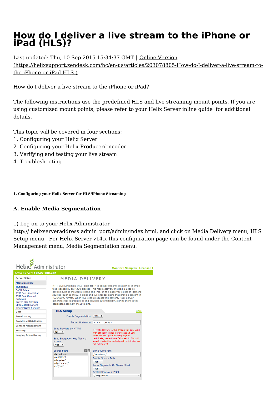## <span id="page-18-0"></span>**How do I deliver a live stream to the iPhone or iPad (HLS)?**

Last updated: Thu, 10 Sep 2015 15:34:37 GMT | Online Version [\(https://helixsupport.zendesk.com/hc/en-us/articles/203078805-How-do-I-deliver-a-live-stream-to](https://helixsupport.zendesk.com/hc/en-us/articles/203078805-How-do-I-deliver-a-live-stream-to-the-iPhone-or-iPad-HLS-)the-iPhone-or-iPad-HLS-)

How do I deliver a live stream to the iPhone or iPad?

The following instructions use the predefined HLS and live streaming mount points. If you are using customized mount points, please refer to your Helix Server inline guide for additional details.

This topic will be covered in four sections:

- 1. Configuring your Helix Server
- 2. Configuring your Helix Producer/encoder
- 3. Verifying and testing your live stream
- 4. Troubleshooting

**1. Configuring your Helix Server for HLS/iPhone Streaming**

#### **A. Enable Media Segmentation**

1) Log on to your Helix Administrator

http:// helixserveraddress: admin\_port/admin/index.html, and click on Media Delivery menu, HLS Setup menu. For Helix Server v14.x this configuration page can be found under the Content Management menu, Media Segmentation menu.

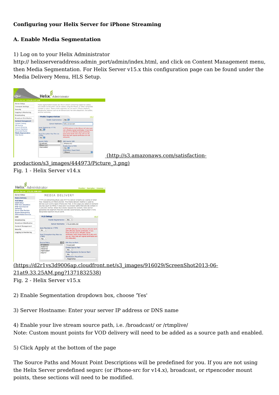#### **Configuring your Helix Server for iPhone Streaming**

#### **A. Enable Media Segmentation**

1) Log on to your Helix Administrator

http:// helixserveraddress:admin\_port/admin/index.html, and click on Content Management menu, then Media Segmentation. For Helix Server v15.x this configuration page can be found under the Media Delivery Menu, HLS Setup.



[production/s3\\_images/444973/Picture\\_3.png\)](http://s3.amazonaws.com/satisfaction-production/s3_images/444973/Picture_3.png)

#### Fig. 1 - Helix Server v14.x



[\(https://d2r1vs3d9006ap.cloudfront.net/s3\\_images/916029/ScreenShot2013-06-](https://d2r1vs3d9006ap.cloudfront.net/s3_images/916029/ScreenShot2013-06-21at9.33.25AM.png?1371832538) 21at9.33.25AM.png?1371832538) Fig. 2 - Helix Server v15.x

2) Enable Segmentation dropdown box, choose 'Yes'

3) Server Hostname: Enter your server IP address or DNS name

4) Enable your live stream source path, i.e. /broadcast/ or /rtmplive/ Note: Custom mount points for VOD delivery will need to be added as a source path and enabled.

5) Click Apply at the bottom of the page

The Source Paths and Mount Point Descriptions will be predefined for you. If you are not using the Helix Server predefined segsrc (or iPhone-src for v14.x), broadcast, or rtpencoder mount points, these sections will need to be modified.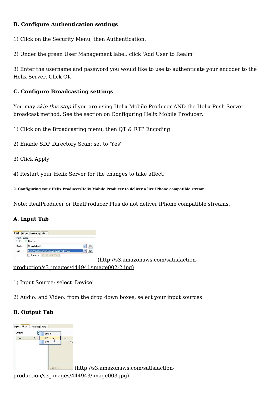#### **B. Configure Authentication settings**

1) Click on the Security Menu, then Authentication.

2) Under the green User Management label, click 'Add User to Realm'

3) Enter the username and password you would like to use to authenticate your encoder to the Helix Server. Click OK.

#### **C. Configure Broadcasting settings**

You may skip this step if you are using Helix Mobile Producer AND the Helix Push Server broadcast method. See the section on Configuring Helix Mobile Producer.

1) Click on the Broadcasting menu, then QT & RTP Encoding

- 2) Enable SDP Directory Scan: set to 'Yes'
- 3) Click Apply

4) Restart your Helix Server for the changes to take affect.

**2. Configuring your Helix Producer/Helix Mobile Producer to deliver a live iPhone compatible stream.**

Note: RealProducer or RealProducer Plus do not deliver iPhone compatible streams.

#### **A. Input Tab**



1) Input Source: select 'Device'

2) Audio: and Video: from the drop down boxes, select your input sources

#### **B. Output Tab**

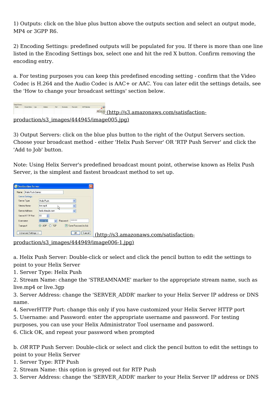1) Outputs: click on the blue plus button above the outputs section and select an output mode, MP4 or 3GPP R6.

2) Encoding Settings: predefined outputs will be populated for you. If there is more than one line listed in the Encoding Settings box, select one and hit the red X button. Confirm removing the encoding entry.

a. For testing purposes you can keep this predefined encoding setting - confirm that the Video Codec is H.264 and the Audio Codec is AAC+ or AAC. You can later edit the settings details, see the 'How to change your broadcast settings' section below.

| Gutput Servers: |                  |         |  |             |                                                               |
|-----------------|------------------|---------|--|-------------|---------------------------------------------------------------|
| Name            | Stream Name Type | Address |  | SDP Flenane |                                                               |
|                 |                  |         |  |             | <u><b>External (http://s3.amazonaws.com/satisfaction-</b></u> |
|                 |                  |         |  |             | production/s3 images/444945/image005.jpg)                     |

3) Output Servers: click on the blue plus button to the right of the Output Servers section. Choose your broadcast method - either 'Helix Push Server' OR 'RTP Push Server' and click the 'Add to Job' button.

Note: Using Helix Server's predefined broadcast mount point, otherwise known as Helix Push Server, is the simplest and fastest broadcast method to set up.

| Name:     | Helix Push Server |                       |                      |
|-----------|-------------------|-----------------------|----------------------|
|           | Server Settings:  |                       |                      |
|           | Server Type:      | Helix Push            | v                    |
|           | Stream Name:      | live.mp4              |                      |
|           | Server Address:   | helix domain com      |                      |
|           | Server HTTP Port: | 80                    |                      |
| Username: |                   | Password:<br>username | <b>XXXXXXXXX</b>     |
| Transport |                   | ⊙ UDP<br>O TCP        | Save Password in Job |

(http://s3.amazonaws.com/satisfaction-

[production/s3\\_images/444949/image006-1.jpg\)](http://s3.amazonaws.com/satisfaction-production/s3_images/444949/image006-1.jpg)

a. Helix Push Server: Double-click or select and click the pencil button to edit the settings to point to your Helix Server

1. Server Type: Helix Push

2. Stream Name: change the 'STREAMNAME' marker to the appropriate stream name, such as live.mp4 or live.3gp

3. Server Address: change the 'SERVER\_ADDR' marker to your Helix Server IP address or DNS name.

4. ServerHTTP Port: change this only if you have customized your Helix Server HTTP port

5. Username: and Password: enter the appropriate username and password. For testing

purposes, you can use your Helix Administrator Tool username and password.

6. Click OK, and repeat your password when prompted

b. OR RTP Push Server: Double-click or select and click the pencil button to edit the settings to point to your Helix Server

1. Server Type: RTP Push

2. Stream Name: this option is greyed out for RTP Push

3. Server Address: change the 'SERVER\_ADDR' marker to your Helix Server IP address or DNS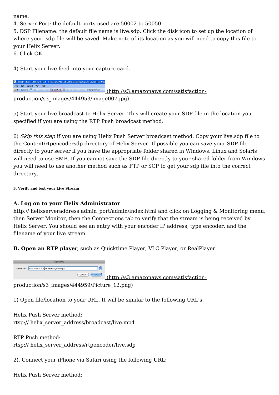name.

4. Server Port: the default ports used are 50002 to 50050

5. DSP Filename: the default file name is live.sdp. Click the disk icon to set up the location of where your .sdp file will be saved. Make note of its location as you will need to copy this file to your Helix Server.

6. Click OK

4) Start your live feed into your capture card.

S Helix Producer Standard 13.1 - C: \Documents and Settings\robthomas\My Documents\Stre New *in* Open **B** Save | Undo Start Job | Sten Job | Cancel Job | Settings Advisor (http://s3.amazonaws.com/satisfaction[production/s3\\_images/444953/image007.jpg\)](http://s3.amazonaws.com/satisfaction-production/s3_images/444953/image007.jpg)

5) Start your live broadcast to Helix Server. This will create your SDP file in the location you specified if you are using the RTP Push broadcast method.

6) Skip this step if you are using Helix Push Server broadcast method. Copy your live.sdp file to the Content/rtpencodersdp directory of Helix Server. If possible you can save your SDP file directly to your server if you have the appropriate folder shared in Windows. Linux and Solaris will need to use SMB. If you cannot save the SDP file directly to your shared folder from Windows you will need to use another method such as FTP or SCP to get your sdp file into the correct directory.

**3. Verify and test your Live Stream**

#### **A. Log on to your Helix Administrator**

http:// helixserveraddress:admin\_port/admin/index.html and click on Logging & Monitoring menu, then Server Monitor, then the Connections tab to verify that the stream is being received by Helix Server. You should see an entry with your encoder IP address, type encoder, and the filename of your live stream.

**B. Open an RTP player**, such as Quicktime Player, VLC Player, or RealPlayer.



[production/s3\\_images/444959/Picture\\_12.png\)](http://s3.amazonaws.com/satisfaction-production/s3_images/444959/Picture_12.png)

1) Open file/location to your URL. It will be similar to the following URL's.

Helix Push Server method: rtsp:// helix\_server\_address/broadcast/live.mp4

RTP Push method: rtsp:// helix\_server\_address/rtpencoder/live.sdp

2). Connect your iPhone via Safari using the following URL:

Helix Push Server method: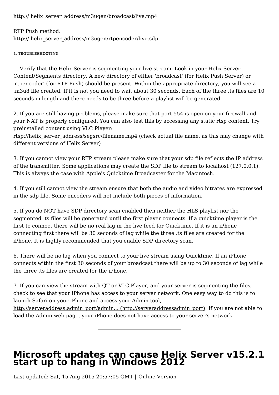http:// helix\_server\_address/m3ugen/broadcast/live.mp4

RTP Push method: http:// helix\_server\_address/m3ugen/rtpencoder/live.sdp

#### **4. TROUBLESHOOTING**

1. Verify that the Helix Server is segmenting your live stream. Look in your Helix Server Content\Segments directory. A new directory of either 'broadcast' (for Helix Push Server) or 'rtpencoder' (for RTP Push) should be present. Within the appropriate directory, you will see a .m3u8 file created. If it is not you need to wait about 30 seconds. Each of the three .ts files are 10 seconds in length and there needs to be three before a playlist will be generated.

2. If you are still having problems, please make sure that port 554 is open on your firewall and your NAT is properly configured. You can also test this by accessing any static rtsp content. Try preinstalled content using VLC Player:

rtsp://helix\_server\_address/segsrc/filename.mp4 (check actual file name, as this may change with different versions of Helix Server)

3. If you cannot view your RTP stream please make sure that your sdp file reflects the IP address of the transmitter. Some applications may create the SDP file to stream to localhost (127.0.0.1). This is always the case with Apple's Quicktime Broadcaster for the Macintosh.

4. If you still cannot view the stream ensure that both the audio and video bitrates are expressed in the sdp file. Some encoders will not include both pieces of information.

5. If you do NOT have SDP directory scan enabled then neither the HLS playlist nor the segmented .ts files will be generated until the first player connects. If a quicktime player is the first to connect there will be no real lag in the live feed for Quicktime. If it is an iPhone connecting first there will be 30 seconds of lag while the three .ts files are created for the iPhone. It is highly recommended that you enable SDP directory scan.

6. There will be no lag when you connect to your live stream using Quicktime. If an iPhone connects within the first 30 seconds of your broadcast there will be up to 30 seconds of lag while the three .ts files are created for the iPhone.

7. If you can view the stream with QT or VLC Player, and your server is segmenting the files, check to see that your iPhone has access to your server network. One easy way to do this is to launch Safari on your iPhone and access your Admin tool,

[http://serveraddress:admin\\_port/admin...](http://serveraddressadmin_port) (http://serveraddressadmin\_port). If you are not able to load the Admin web page, your iPhone does not have access to your server's network

## <span id="page-23-0"></span>**Microsoft updates can cause Helix Server v15.2.1 start up to hang in Windows 2012**

Last updated: Sat, 15 Aug 2015 20:57:05 GMT | Online Version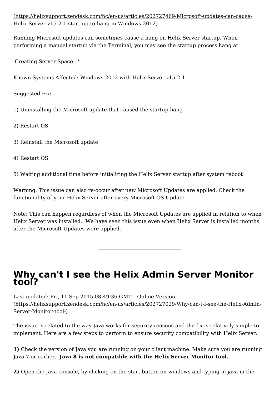[\(https://helixsupport.zendesk.com/hc/en-us/articles/202727469-Microsoft-updates-can-cause-](https://helixsupport.zendesk.com/hc/en-us/articles/202727469-Microsoft-updates-can-cause-Helix-Server-v15-2-1-start-up-to-hang-in-Windows-2012) Helix-Server-v15-2-1-start-up-to-hang-in-Windows-2012)

Running Microsoft updates can sometimes cause a hang on Helix Server startup. When performing a manual startup via the Terminal, you may see the startup process hang at

'Creating Server Space...'

Known Systems Affected: Windows 2012 with Helix Server v15.2.1

Suggested Fix:

- 1) Uninstalling the Microsoft update that caused the startup hang
- 2) Restart OS
- 3) Reinstall the Microsoft update
- 4) Restart OS

5) Waiting additional time before initializing the Helix Server startup after system reboot

Warning: This issue can also re-occur after new Microsoft Updates are applied. Check the functionality of your Helix Server after every Microsoft OS Update.

Note: This can happen regardless of when the Microsoft Updates are applied in relation to when Helix Server was installed. We have seen this issue even when Helix Server is installed months after the Microsoft Updates were applied.

## <span id="page-24-0"></span>**Why can't I see the Helix Admin Server Monitor tool?**

Last updated: Fri, 11 Sep 2015 08:49:36 GMT | Online Version [\(https://helixsupport.zendesk.com/hc/en-us/articles/202727029-Why-can-t-I-see-the-Helix-Admin-](https://helixsupport.zendesk.com/hc/en-us/articles/202727029-Why-can-t-I-see-the-Helix-Admin-Server-Monitor-tool-)Server-Monitor-tool-)

The issue is related to the way Java works for security reasons and the fix is relatively simple to implement. Here are a few steps to perform to ensure security compatibility with Helix Server:

**1)** Check the version of Java you are running on your client machine. Make sure you are running Java 7 or earlier. **Java 8 is not compatible with the Helix Server Monitor tool.**

**2)** Open the Java console, by clicking on the start button on windows and typing in java in the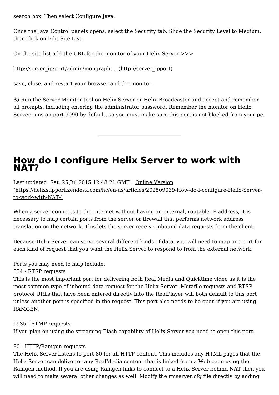search box. Then select Configure Java.

Once the Java Control panels opens, select the Security tab. Slide the Security Level to Medium, then click on Edit Site List.

On the site list add the URL for the monitor of your Helix Server >>>

#### [http://server\\_ip:port/admin/mongraph....](http://server_ipport) (http://server\_ipport)

save, close, and restart your browser and the monitor.

**3)** Run the Server Monitor tool on Helix Server or Helix Broadcaster and accept and remember all prompts, including entering the administrator password. Remember the monitor on Helix Server runs on port 9090 by default, so you must make sure this port is not blocked from your pc.

## <span id="page-25-0"></span>**How do I configure Helix Server to work with NAT?**

Last updated: Sat, 25 Jul 2015 12:48:21 GMT | Online Version [\(https://helixsupport.zendesk.com/hc/en-us/articles/202509039-How-do-I-configure-Helix-Server](https://helixsupport.zendesk.com/hc/en-us/articles/202509039-How-do-I-configure-Helix-Server-to-work-with-NAT-)to-work-with-NAT-)

When a server connects to the Internet without having an external, routable IP address, it is necessary to map certain ports from the server or firewall that performs network address translation on the network. This lets the server receive inbound data requests from the client.

Because Helix Server can serve several different kinds of data, you will need to map one port for each kind of request that you want the Helix Server to respond to from the external network.

Ports you may need to map include:

554 - RTSP requests

This is the most important port for delivering both Real Media and Quicktime video as it is the most common type of inbound data request for the Helix Server. Metafile requests and RTSP protocol URLs that have been entered directly into the RealPlayer will both default to this port unless another port is specified in the request. This port also needs to be open if you are using RAMGEN.

1935 - RTMP requests

If you plan on using the streaming Flash capability of Helix Server you need to open this port.

#### 80 - HTTP/Ramgen requests

The Helix Server listens to port 80 for all HTTP content. This includes any HTML pages that the Helix Server can deliver or any RealMedia content that is linked from a Web page using the Ramgen method. If you are using Ramgen links to connect to a Helix Server behind NAT then you will need to make several other changes as well. Modify the rmserver.cfg file directly by adding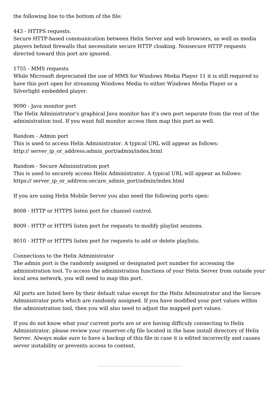the following line to the bottom of the file:

#### 443 - HTTPS requests.

Secure HTTP-based communication between Helix Server and web browsers, as well as media players behind firewalls that necessitate secure HTTP cloaking. Nonsecure HTTP requests directed toward this port are ignored.

#### 1755 - MMS requests

While Microsoft depreciated the use of MMS for Windows Media Player 11 it is still required to have this port open for streaming Windows Media to either Windows Media Player or a Silverlight embedded player.

#### 9090 - Java monitor port

The Helix Administrator's graphical Java monitor has it's own port separate from the rest of the administration tool. If you want full monitor access then map this port as well.

#### Random - Admin port

This is used to access Helix Administrator. A typical URL will appear as follows: http:// server\_ip\_or\_address:admin\_port/admin/index.html

Random - Secure Administration port

This is used to securely access Helix Administrator. A typical URL will appear as follows: https:// server\_ip\_or\_address:secure\_admin\_port/admin/index.html

If you are using Helix Mobile Server you also need the following ports open:

8008 - HTTP or HTTPS listen port for channel control.

8009 - HTTP or HTTPS listen port for requests to modify playlist sessions.

8010 - HTTP or HTTPS listen port for requests to add or delete playlists.

Connections to the Helix Administrator

The admin port is the randomly assigned or designated port number for accessing the administration tool. To access the administration functions of your Helix Server from outside your local area network, you will need to map this port.

All ports are listed here by their default value except for the Helix Administrator and the Secure Administrator ports which are randomly assigned. If you have modified your port values within the administration tool, then you will also need to adjust the mapped port values.

If you do not know what your current ports are or are having difficuly connecting to Helix Administrator, please review your rmserver.cfg file located in the base install directory of Helix Server. Always make sure to have a backup of this file in case it is edited incorrectly and causes server instability or prevents access to content.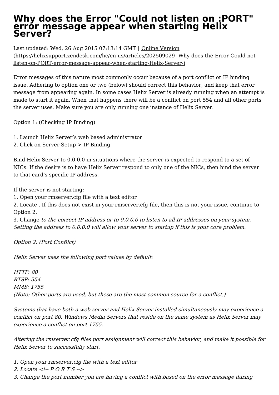### <span id="page-27-0"></span>**Why does the Error "Could not listen on :PORT" error message appear when starting Helix Server?**

Last updated: Wed, 26 Aug 2015 07:13:14 GMT | Online Version [\(https://helixsupport.zendesk.com/hc/en-us/articles/202509029--Why-does-the-Error-Could-not](https://helixsupport.zendesk.com/hc/en-us/articles/202509029--Why-does-the-Error-Could-not-listen-on-PORT-error-message-appear-when-starting-Helix-Server-)listen-on-PORT-error-message-appear-when-starting-Helix-Server-)

Error messages of this nature most commonly occur because of a port conflict or IP binding issue. Adhering to option one or two (below) should correct this behavior, and keep that error message from appearing again. In some cases Helix Server is already running when an attempt is made to start it again. When that happens there will be a conflict on port 554 and all other ports the server uses. Make sure you are only running one instance of Helix Server.

Option 1: (Checking IP Binding)

- 1. Launch Helix Server's web based administrator
- 2. Click on Server Setup > IP Binding

Bind Helix Server to 0.0.0.0 in situations where the server is expected to respond to a set of NICs. If the desire is to have Helix Server respond to only one of the NICs, then bind the server to that card's specific IP address.

If the server is not starting:

1. Open your rmserver.cfg file with a text editor

2. Locate . If this does not exist in your rmserver.cfg file, then this is not your issue, continue to Option 2.

3. Change to the correct IP address or to 0.0.0.0 to listen to all IP addresses on your system. Setting the address to 0.0.0.0 will allow your server to startup if this is your core problem.

Option 2: (Port Conflict)

Helix Server uses the following port values by default:

HTTP: 80 RTSP: 554 MMS: 1755 (Note: Other ports are used, but these are the most common source for <sup>a</sup> conflict.)

Systems that have both <sup>a</sup> web server and Helix Server installed simultaneously may experience <sup>a</sup> conflict on port 80. Windows Media Servers that reside on the same system as Helix Server may experience <sup>a</sup> conflict on port 1755.

Altering the rmserver.cfg files port assignment will correct this behavior, and make it possible for Helix Server to successfully start.

- 1. Open your rmserver.cfg file with <sup>a</sup> text editor
- 2. Locate <!--  $P$  O R T S -->
- 3. Change the port number you are having <sup>a</sup> conflict with based on the error message during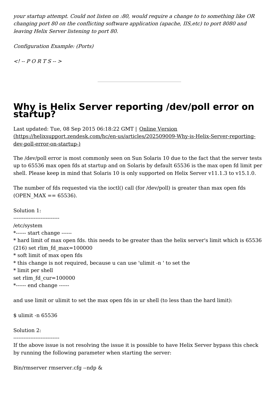your startup attempt. Could not listen on :80, would require <sup>a</sup> change to to something like OR changing port 80 on the conflicting software application (apache, IIS,etc) to port 8080 and leaving Helix Server listening to port 80.

Configuration Example: (Ports)

 $\lt'$  -- PORTS -- >

### <span id="page-28-0"></span>**Why is Helix Server reporting /dev/poll error on startup?**

Last updated: Tue, 08 Sep 2015 06:18:22 GMT | Online Version [\(https://helixsupport.zendesk.com/hc/en-us/articles/202509009-Why-is-Helix-Server-reporting](https://helixsupport.zendesk.com/hc/en-us/articles/202509009-Why-is-Helix-Server-reporting-dev-poll-error-on-startup-)dev-poll-error-on-startup-)

The /dev/poll error is most commonly seen on Sun Solaris 10 due to the fact that the server tests up to 65536 max open fds at startup and on Solaris by default 65536 is the max open fd limit per shell. Please keep in mind that Solaris 10 is only supported on Helix Server v11.1.3 to v15.1.0.

The number of fds requested via the ioctl() call (for /dev/poll) is greater than max open fds (OPEN  $MAX = = 65536$ ).

Solution 1: --------------------------- /etc/system \*------ start change ------ \* hard limit of max open fds. this needs to be greater than the helix server's limit which is 65536 (216) set rlim\_fd\_max=100000 \* soft limit of max open fds \* this change is not required, because u can use 'ulimit -n 'to set the \* limit per shell set rlim\_fd\_cur=100000 \*------ end change ------

and use limit or ulimit to set the max open fds in ur shell (to less than the hard limit):

\$ ulimit -n 65536

Solution 2:

---------------------------

If the above issue is not resolving the issue it is possible to have Helix Server bypass this check by running the following parameter when starting the server:

Bin/rmserver rmserver.cfg --ndp &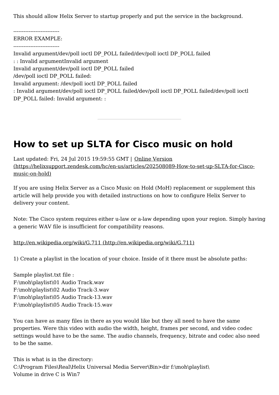This should allow Helix Server to startup properly and put the service in the background.

---------------------------

ERROR EXAMPLE: ---------------------------

Invalid argument/dev/poll ioctl DP\_POLL failed/dev/poll ioctl DP\_POLL failed

: : Invalid argumentInvalid argument

Invalid argument/dev/poll ioctl DP\_POLL failed

/dev/poll ioctl DP\_POLL failed:

Invalid argument: /dev/poll ioctl DP\_POLL failed

: Invalid argument/dev/poll ioctl DP\_POLL failed/dev/poll ioctl DP\_POLL failed/dev/poll ioctl DP\_POLL failed: Invalid argument: :

<span id="page-29-0"></span>**How to set up SLTA for Cisco music on hold**

Last updated: Fri, 24 Jul 2015 19:59:55 GMT | Online Version [\(https://helixsupport.zendesk.com/hc/en-us/articles/202508089-How-to-set-up-SLTA-for-Cisco](https://helixsupport.zendesk.com/hc/en-us/articles/202508089-How-to-set-up-SLTA-for-Cisco-music-on-hold) music-on-hold)

If you are using Helix Server as a Cisco Music on Hold (MoH) replacement or supplement this article will help provide you with detailed instructions on how to configure Helix Server to delivery your content.

Note: The Cisco system requires either u-law or a-law depending upon your region. Simply having a generic WAV file is insufficient for compatibility reasons.

http://en.wikipedia.org/wiki/G.711 [\(http://en.wikipedia.org/wiki/G.711\)](http://en.wikipedia.org/wiki/G.711)

1) Create a playlist in the location of your choice. Inside of it there must be absolute paths:

Sample playlist.txt file : F:\moh\playlist\01 Audio Track.wav F:\moh\playlist\02 Audio Track-3.wav F:\moh\playlist\05 Audio Track-13.wav F:\moh\playlist\05 Audio Track-15.wav

You can have as many files in there as you would like but they all need to have the same properties. Were this video with audio the width, height, frames per second, and video codec settings would have to be the same. The audio channels, frequency, bitrate and codec also need to be the same.

This is what is in the directory: C:\Program Files\Real\Helix Universal Media Server\Bin>dir f:\moh\playlist\ Volume in drive C is Win7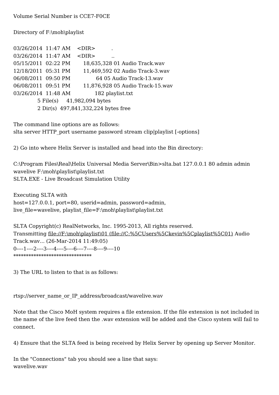Directory of F:\moh\playlist

| 03/26/2014 11:47 AM | $<$ DIR $>$                         |
|---------------------|-------------------------------------|
| 03/26/2014 11:47 AM | $<$ DIR $>$                         |
| 05/15/2011 02:22 PM | 18,635,328 01 Audio Track.wav       |
| 12/18/2011 05:31 PM | 11,469,592 02 Audio Track-3.wav     |
| 06/08/2011 09:50 PM | 64 05 Audio Track-13.wav            |
| 06/08/2011 09:51 PM | 11,876,928 05 Audio Track-15.wav    |
| 03/26/2014 11:48 AM | 182 playlist.txt                    |
|                     | 5 File(s) 41,982,094 bytes          |
|                     | 2 Dir(s) 497,841,332,224 bytes free |

The command line options are as follows: slta server HTTP port username password stream clip|playlist [-options]

2) Go into where Helix Server is installed and head into the Bin directory:

C:\Program Files\Real\Helix Universal Media Server\Bin>slta.bat 127.0.0.1 80 admin admin wavelive F:\moh\playlist\playlist.txt SLTA.EXE - Live Broadcast Simulation Utility

Executing SLTA with host=127.0.0.1, port=80, userid=admin, password=admin, live file=wavelive, playlist file=F:\moh\playlist\playlist.txt

SLTA Copyright(c) RealNetworks, Inc. 1995-2013, All rights reserved. Transmitting file://F:\moh\playlist\01 [\(file://C:%5CUsers%5Ckevin%5Cplaylist%5C01\)](#page-31-1) Audio Track.wav... (26-Mar-2014 11:49:05) 0----1----2----3----4----5----6----7----8----9----10 \*\*\*\*\*\*\*\*\*\*\*\*\*\*\*\*\*\*\*\*\*\*\*\*\*\*\*\*\*\*\*

3) The URL to listen to that is as follows:

rtsp://server\_name\_or\_IP\_address/broadcast/wavelive.wav

Note that the Cisco MoH system requires a file extension. If the file extension is not included in the name of the live feed then the .wav extension will be added and the Cisco system will fail to connect.

4) Ensure that the SLTA feed is being received by Helix Server by opening up Server Monitor.

In the "Connections" tab you should see a line that says: wavelive.wav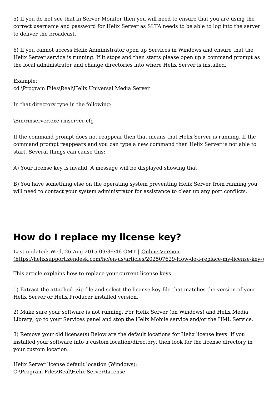<span id="page-31-1"></span>5) If you do not see that in Server Monitor then you will need to ensure that you are using the correct username and password for Helix Server as SLTA needs to be able to log into the server to deliver the broadcast.

6) If you cannot access Helix Administrator open up Services in Windows and ensure that the Helix Server service is running. If it stops and then starts please open up a command prompt as the local administrator and change directories into where Helix Server is installed.

Example: cd \Program Files\Real\Helix Universal Media Server

In that directory type in the following:

\Bin\rmserver.exe rmserver.cfg

If the command prompt does not reappear then that means that Helix Server is running. If the command prompt reappears and you can type a new command then Helix Server is not able to start. Several things can cause this:

A) Your license key is invalid. A message will be displayed showing that.

B) You have something else on the operating system preventing Helix Server from running you will need to contact your system administrator for assistance to clear up any port conflicts.

## <span id="page-31-0"></span>**How do I replace my license key?**

Last updated: Wed, 26 Aug 2015 09:36:46 GMT | Online Version [\(https://helixsupport.zendesk.com/hc/en-us/articles/202507629-How-do-I-replace-my-license-key-\)](https://helixsupport.zendesk.com/hc/en-us/articles/202507629-How-do-I-replace-my-license-key-)

This article explains how to replace your current license keys.

1) Extract the attached .zip file and select the license key file that matches the version of your Helix Server or Helix Producer installed version.

2) Make sure your software is not running. For Helix Server (on Windows) and Helix Media Library, go to your Services panel and stop the Helix Mobile service and/or the HML Service.

3) Remove your old license(s) Below are the default locations for Helix license keys. If you installed your software into a custom location/directory, then look for the license directory in your custom location.

Helix Server license default location (Windows): C:\Program Files\Real\Helix Server\License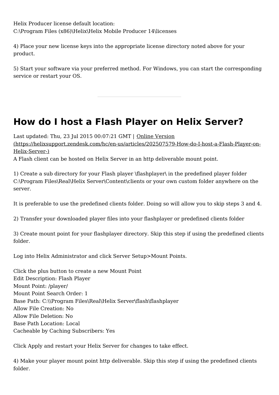Helix Producer license default location: C:\Program Files (x86)\Helix\Helix Mobile Producer 14\licenses

4) Place your new license keys into the appropriate license directory noted above for your product.

5) Start your software via your preferred method. For Windows, you can start the corresponding service or restart your OS.

<span id="page-32-0"></span>**How do I host a Flash Player on Helix Server?**

Last updated: Thu, 23 Jul 2015 00:07:21 GMT | Online Version [\(https://helixsupport.zendesk.com/hc/en-us/articles/202507579-How-do-I-host-a-Flash-Player-on-](https://helixsupport.zendesk.com/hc/en-us/articles/202507579-How-do-I-host-a-Flash-Player-on-Helix-Server-) Helix-Server-)

A Flash client can be hosted on Helix Server in an http deliverable mount point.

1) Create a sub directory for your Flash player \flashplayer\ in the predefined player folder C:\Program Files\Real\Helix Server\Content\clients or your own custom folder anywhere on the server.

It is preferable to use the predefined clients folder. Doing so will allow you to skip steps 3 and 4.

2) Transfer your downloaded player files into your flashplayer or predefined clients folder

3) Create mount point for your flashplayer directory. Skip this step if using the predefined clients folder.

Log into Helix Administrator and click Server Setup>Mount Points.

Click the plus button to create a new Mount Point Edit Description: Flash Player Mount Point: /player/ Mount Point Search Order: 1 Base Path: C:\\Program Files\Real\Helix Server\flash\flashplayer Allow File Creation: No Allow File Deletion: No Base Path Location: Local Cacheable by Caching Subscribers: Yes

Click Apply and restart your Helix Server for changes to take effect.

4) Make your player mount point http deliverable. Skip this step if using the predefined clients folder.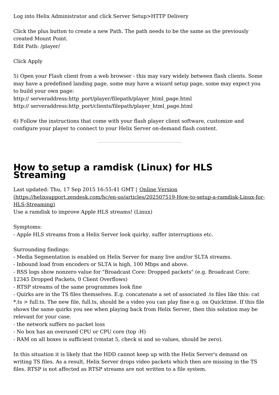Log into Helix Administrator and click Server Setup>HTTP Delivery

Click the plus button to create a new Path. The path needs to be the same as the previously created Mount Point. Edit Path: /player/

Click Apply

5) Open your Flash client from a web browser - this may vary widely between flash clients. Some may have a predefined landing page, some may have a wizard setup page, some may expect you to build your own page:

http:// serveraddress:http\_port/player/filepath/player\_html\_page.html http:// serveraddress:http\_port/clients/filepath/player\_html\_page.html

6) Follow the instructions that come with your flash player client software, customize and configure your player to connect to your Helix Server on-demand flash content.

## <span id="page-33-0"></span>**How to setup a ramdisk (Linux) for HLS Streaming**

Last updated: Thu, 17 Sep 2015 16:55:41 GMT | Online Version

[\(https://helixsupport.zendesk.com/hc/en-us/articles/202507519-How-to-setup-a-ramdisk-Linux-for-](https://helixsupport.zendesk.com/hc/en-us/articles/202507519-How-to-setup-a-ramdisk-Linux-for-HLS-Streaming) HLS-Streaming)

Use a ramdisk to improve Apple HLS streams! (Linux)

Symptoms:

- Apple HLS streams from a Helix Server look quirky, suffer interruptions etc.

Surrounding findings:

- Media Segmentation is enabled on Helix Server for many live and/or SLTA streams.

- Inbound load from encoders or SLTA is high, 100 Mbps and above.

- RSS logs show nonzero value for "Broadcast Core: Dropped packets" (e.g. Broadcast Core:

12345 Dropped Packets, 0 Client Overflows)

- RTSP streams of the same programmes look fine

- Quirks are in the TS files themselves. E.g. concatenate a set of associated .ts files like this: cat \*.ts > full.ts. The new file, full.ts, should be a video you can play fine e.g. on Quicktime. If this file shows the same quirks you see when playing back from Helix Server, then this solution may be relevant for your case.

- the network suffers no packet loss
- No box has an overused CPU or CPU core (top -H)
- RAM on all boxes is sufficient (vmstat 5, check si and so values, should be zero).

In this situation it is likely that the HDD cannot keep up with the Helix Server's demand on writing TS files. As a result, Helix Server drops video packets which then are missing in the TS files. RTSP is not affected as RTSP streams are not written to a file system.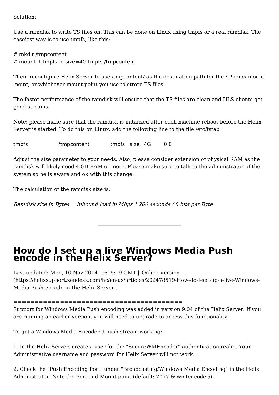Solution:

Use a ramdisk to write TS files on. This can be done on Linux using tmpfs or a real ramdisk. The easeiest way is to use tmpfs, like this:

# mkdir /tmpcontent # mount -t tmpfs -o size=4G tmpfs /tmpcontent

Then, reconfigure Helix Server to use /tmpcontent/ as the destination path for the /iPhone/ mount point, or whichever mount point you use to strore TS files.

The faster performance of the ramdisk will ensure that the TS files are clean and HLS clients get good streams.

Note: please make sure that the ramdisk is initaiized after each machine reboot before the Helix Server is started. To do this on LInux, add the following line to the file /etc/fstab

tmpfs /tmpcontent tmpfs size=4G 0 0

Adjust the size parameter to your needs. Also, please consider extension of physical RAM as the ramdisk will likely need 4 GB RAM or more. Please make sure to talk to the administrator of the system so he is aware and ok with this change.

The calculation of the ramdisk size is:

Ramdisk size in Bytes = Inbound load in Mbps  $*$  200 seconds / 8 bits per Byte

### <span id="page-34-0"></span>**How do I set up a live Windows Media Push encode in the Helix Server?**

Last updated: Mon, 10 Nov 2014 19:15:19 GMT | Online Version [\(https://helixsupport.zendesk.com/hc/en-us/articles/202478519-How-do-I-set-up-a-live-Windows-](https://helixsupport.zendesk.com/hc/en-us/articles/202478519-How-do-I-set-up-a-live-Windows-Media-Push-encode-in-the-Helix-Server-) Media-Push-encode-in-the-Helix-Server-)

========================================

Support for Windows Media Push encoding was added in version 9.04 of the Helix Server. If you are running an earlier version, you will need to upgrade to access this functionality.

To get a Windows Media Encoder 9 push stream working:

1. In the Helix Server, create a user for the "SecureWMEncoder" authentication realm. Your Administrative username and password for Helix Server will not work.

2. Check the "Push Encoding Port" under "Broadcasting/Windows Media Encoding" in the Helix Administrator. Note the Port and Mount point (default: 7077 & wmtencoder/).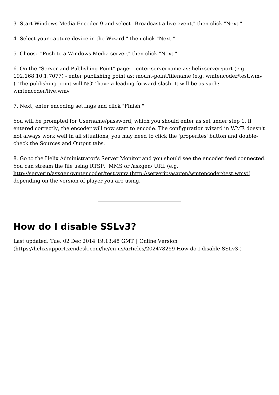3. Start Windows Media Encoder 9 and select "Broadcast a live event," then click "Next."

4. Select your capture device in the Wizard," then click "Next."

5. Choose "Push to a Windows Media server," then click "Next."

6. On the "Server and Publishing Point" page: - enter servername as: helixserver:port (e.g. 192.168.10.1:7077) - enter publishing point as: mount-point/filename (e.g. wmtencoder/test.wmv ). The publishing point will NOT have a leading forward slash. It will be as such: wmtencoder/live.wmv

7. Next, enter encoding settings and click "Finish."

You will be prompted for Username/password, which you should enter as set under step 1. If entered correctly, the encoder will now start to encode. The configuration wizard in WME doesn't not always work well in all situations, you may need to click the 'properites' button and doublecheck the Sources and Output tabs.

8. Go to the Helix Administrator's Server Monitor and you should see the encoder feed connected. You can stream the file using RTSP, MMS or /asxgen/ URL (e.g. http://serverip/asxgen/wmtencoder/test.wmv [\(http://serverip/asxgen/wmtencoder/test.wmv\)](http://serverip/asxgen/wmtencoder/test.wmv)) depending on the version of player you are using.

## <span id="page-35-0"></span>**How do I disable SSLv3?**

Last updated: Tue, 02 Dec 2014 19:13:48 GMT | Online Version [\(https://helixsupport.zendesk.com/hc/en-us/articles/202478259-How-do-I-disable-SSLv3-\)](https://helixsupport.zendesk.com/hc/en-us/articles/202478259-How-do-I-disable-SSLv3-)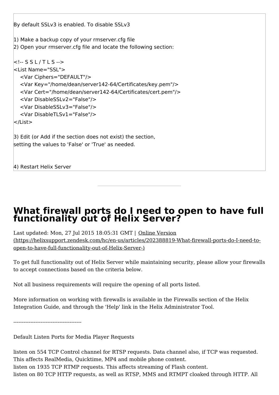By default SSLv3 is enabled. To disable SSLv3 1) Make a backup copy of your rmserver.cfg file 2) Open your rmserver.cfg file and locate the following section: <!-- S S L / T L S --> <List Name="SSL"> <Var Ciphers="DEFAULT"/> <Var Key="/home/dean/server142-64/Certificates/key.pem"/> <Var Cert="/home/dean/server142-64/Certificates/cert.pem"/> <Var DisableSSLv2="False"/> <Var DisableSSLv3="False"/> <Var DisableTLSv1="False"/> </List> 3) Edit (or Add if the section does not exist) the section, setting the values to 'False' or 'True' as needed.

4) Restart Helix Server

## <span id="page-36-0"></span>**What firewall ports do I need to open to have full functionality out of Helix Server?**

Last updated: Mon, 27 Jul 2015 18:05:31 GMT | Online Version [\(https://helixsupport.zendesk.com/hc/en-us/articles/202388819-What-firewall-ports-do-I-need-to](https://helixsupport.zendesk.com/hc/en-us/articles/202388819-What-firewall-ports-do-I-need-to-open-to-have-full-functionality-out-of-Helix-Server-)open-to-have-full-functionality-out-of-Helix-Server-)

To get full functionality out of Helix Server while maintaining security, please allow your firewalls to accept connections based on the criteria below.

Not all business requirements will require the opening of all ports listed.

More information on working with firewalls is available in the Firewalls section of the Helix Integration Guide, and through the 'Help' link in the Helix Administrator Tool.

----------------------------------------

Default Listen Ports for Media Player Requests

listen on 554 TCP Control channel for RTSP requests. Data channel also, if TCP was requested. This affects RealMedia, Quicktime, MP4 and mobile phone content. listen on 1935 TCP RTMP requests. This affects streaming of Flash content. listen on 80 TCP HTTP requests, as well as RTSP, MMS and RTMPT cloaked through HTTP. All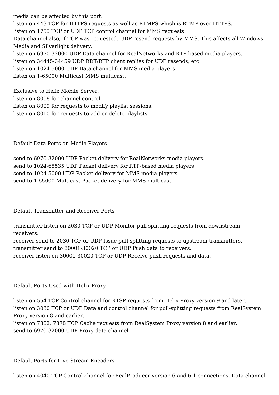media can be affected by this port.

listen on 443 TCP for HTTPS requests as well as RTMPS which is RTMP over HTTPS.

listen on 1755 TCP or UDP TCP control channel for MMS requests.

Data channel also, if TCP was requested. UDP resend requests by MMS. This affects all Windows Media and Silverlight delivery.

listen on 6970-32000 UDP Data channel for RealNetworks and RTP-based media players.

listen on 34445-34459 UDP RDT/RTP client replies for UDP resends, etc.

listen on 1024-5000 UDP Data channel for MMS media players.

listen on 1-65000 Multicast MMS multicast.

Exclusive to Helix Mobile Server:

listen on 8008 for channel control.

listen on 8009 for requests to modify playlist sessions.

listen on 8010 for requests to add or delete playlists.

----------------------------------------

Default Data Ports on Media Players

send to 6970-32000 UDP Packet delivery for RealNetworks media players. send to 1024-65535 UDP Packet delivery for RTP-based media players. send to 1024-5000 UDP Packet delivery for MMS media players. send to 1-65000 Multicast Packet delivery for MMS multicast.

----------------------------------------

Default Transmitter and Receiver Ports

transmitter listen on 2030 TCP or UDP Monitor pull splitting requests from downstream receivers.

receiver send to 2030 TCP or UDP Issue pull-splitting requests to upstream transmitters. transmitter send to 30001-30020 TCP or UDP Push data to receivers.

receiver listen on 30001-30020 TCP or UDP Receive push requests and data.

----------------------------------------

Default Ports Used with Helix Proxy

listen on 554 TCP Control channel for RTSP requests from Helix Proxy version 9 and later. listen on 3030 TCP or UDP Data and control channel for pull-splitting requests from RealSystem Proxy version 8 and earlier.

listen on 7802, 7878 TCP Cache requests from RealSystem Proxy version 8 and earlier. send to 6970-32000 UDP Proxy data channel.

----------------------------------------

Default Ports for Live Stream Encoders

listen on 4040 TCP Control channel for RealProducer version 6 and 6.1 connections. Data channel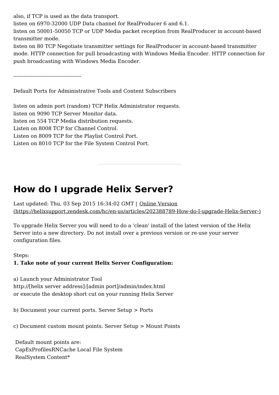also, if TCP is used as the data transport.

listen on 6970-32000 UDP Data channel for RealProducer 6 and 6.1.

listen on 50001-50050 TCP or UDP Media packet reception from RealProducer in account-based transmitter mode.

listen on 80 TCP Negotiate transmitter settings for RealProducer in account-based transmitter mode. HTTP connection for pull broadcasting with Windows Media Encoder. HTTP connection for push broadcasting with Windows Media Encoder.

----------------------------------------

Default Ports for Administrative Tools and Content Subscribers

listen on admin port (random) TCP Helix Administrator requests. listen on 9090 TCP Server Monitor data. listen on 554 TCP Media distribution requests. Listen on 8008 TCP for Channel Control. Listen on 8009 TCP for the Playlist Control Port. Listen on 8010 TCP for the File System Control Port.

## <span id="page-38-0"></span>**How do I upgrade Helix Server?**

Last updated: Thu, 03 Sep 2015 16:34:02 GMT | Online Version [\(https://helixsupport.zendesk.com/hc/en-us/articles/202388789-How-do-I-upgrade-Helix-Server-\)](https://helixsupport.zendesk.com/hc/en-us/articles/202388789-How-do-I-upgrade-Helix-Server-)

To upgrade Helix Server you will need to do a 'clean' install of the latest version of the Helix Server into a new directory. Do not install over a previous version or re-use your server configuration files.

#### Steps:

#### **1. Take note of your current Helix Server Configuration:**

a) Launch your Administrator Tool http://[helix server address]:[admin port]/admin/index.html or execute the desktop short cut on your running Helix Server

b) Document your current ports. Server Setup > Ports

c) Document custom mount points. Server Setup > Mount Points

Default mount points are: CapExProfilesRNCache Local File System RealSystem Content\*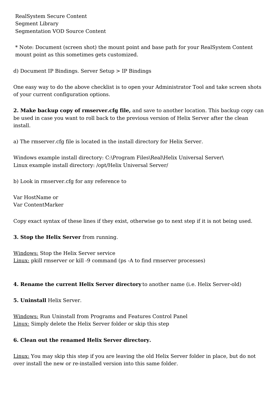\* Note: Document (screen shot) the mount point and base path for your RealSystem Content mount point as this sometimes gets customized.

d) Document IP Bindings. Server Setup > IP Bindings

One easy way to do the above checklist is to open your Administrator Tool and take screen shots of your current configuration options.

**2. Make backup copy of rmserver.cfg file,** and save to another location. This backup copy can be used in case you want to roll back to the previous version of Helix Server after the clean install.

a) The rmserver.cfg file is located in the install directory for Helix Server.

Windows example install directory: C:\Program Files\Real\Helix Universal Server\ Linux example install directory: /opt/Helix Universal Server/

b) Look in rmserver.cfg for any reference to

Var HostName or Var ContentMarker

Copy exact syntax of these lines if they exist, otherwise go to next step if it is not being used.

**3. Stop the Helix Server** from running.

Windows: Stop the Helix Server service Linux: pkill rmserver or kill -9 command (ps -A to find rmserver processes)

#### **4. Rename the current Helix Server directory** to another name (i.e. Helix Server-old)

**5. Uninstall** Helix Server.

Windows: Run Uninstall from Programs and Features Control Panel Linux: Simply delete the Helix Server folder or skip this step

#### **6. Clean out the renamed Helix Server directory.**

Linux: You may skip this step if you are leaving the old Helix Server folder in place, but do not over install the new or re-installed version into this same folder.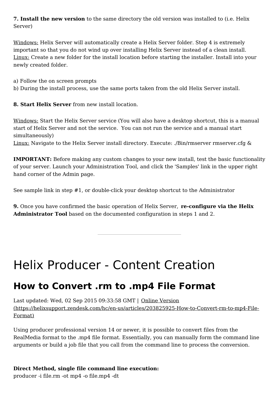**7. Install the new version** to the same directory the old version was installed to (i.e. Helix Server)

Windows: Helix Server will automatically create a Helix Server folder. Step 4 is extremely important so that you do not wind up over installing Helix Server instead of a clean install. Linux: Create a new folder for the install location before starting the installer. Install into your newly created folder.

- a) Follow the on screen prompts
- b) During the install process, use the same ports taken from the old Helix Server install.

**8. Start Helix Server** from new install location.

Windows: Start the Helix Server service (You will also have a desktop shortcut, this is a manual start of Helix Server and not the service. You can not run the service and a manual start simultaneously)

Linux: Navigate to the Helix Server install directory. Execute: ./Bin/rmserver rmserver.cfg &

**IMPORTANT:** Before making any custom changes to your new install, test the basic functionality of your server. Launch your Administration Tool, and click the 'Samples' link in the upper right hand corner of the Admin page.

See sample link in step #1, or double-click your desktop shortcut to the Administrator

**9.** Once you have confirmed the basic operation of Helix Server, **re-configure via the Helix Administrator Tool** based on the documented configuration in steps 1 and 2.

## <span id="page-40-0"></span>Helix Producer - Content Creation

## <span id="page-40-1"></span>**How to Convert .rm to .mp4 File Format**

Last updated: Wed, 02 Sep 2015 09:33:58 GMT | Online Version [\(https://helixsupport.zendesk.com/hc/en-us/articles/203825925-How-to-Convert-rm-to-mp4-File-](https://helixsupport.zendesk.com/hc/en-us/articles/203825925-How-to-Convert-rm-to-mp4-File-Format)Format)

Using producer professional version 14 or newer, it is possible to convert files from the RealMedia format to the .mp4 file format. Essentially, you can manually form the command line arguments or build a job file that you call from the command line to process the conversion.

#### **Direct Method, single file command line execution:**

producer -i file.rm -ot mp4 -o file.mp4 -dt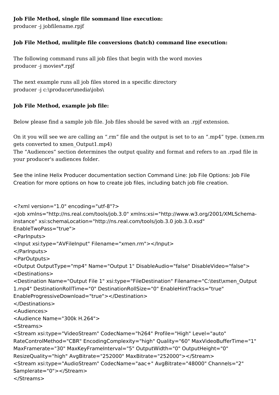#### **Job File Method, single file sommand line execution:**

producer -j jobfilename.rpjf

#### **Job File Method, mulitple file conversions (batch) command line execution:**

The following command runs all job files that begin with the word movies producer -j movies\*.rpjf

The next example runs all job files stored in a specific directory producer -j c:\producer\media\jobs\

#### **Job File Method, example job file:**

Below please find a sample job file. Job files should be saved with an .rpjf extension.

On it you will see we are calling an ".rm" file and the output is set to to an ".mp4" type. (xmen.rm gets converted to xmen\_Output1.mp4)

The "Audiences" section determines the output quality and format and refers to an .rpad file in your producer's audiences folder.

See the inline Helix Producer documentation section Command Line: Job File Options: Job File Creation for more options on how to create job files, including batch job file creation.

```
<?xml version="1.0" encoding="utf-8"?>
<Job xmlns="http://ns.real.com/tools/job.3.0" xmlns:xsi="http://www.w3.org/2001/XMLSchema-
instance" xsi:schemaLocation="http://ns.real.com/tools/job.3.0 job.3.0.xsd"
EnableTwoPass="true">
<ParInputs>
<Input xsi:type="AVFileInput" Filename="xmen.rm"></Input>
</ParInputs>
<ParOutputs>
<Output OutputType="mp4" Name="Output 1" DisableAudio="false" DisableVideo="false">
<Destinations>
<Destination Name="Output File 1" xsi:type="FileDestination" Filename="C:\test\xmen_Output
1.mp4" DestinationRollTime="0" DestinationRollSize="0" EnableHintTracks="true"
EnableProgressiveDownload="true"></Destination>
</Destinations>
<Audiences>
<Audience Name="300k H.264">
<Streams>
<Stream xsi:type="VideoStream" CodecName="h264" Profile="High" Level="auto"
RateControlMethod="CBR" EncodingComplexity="high" Quality="60" MaxVideoBufferTime="1" MaxFramerate="30" MaxKeyFrameInterval="5" OutputWidth="0" OutputHeight="0"
ResizeQuality="high" AvgBitrate="252000" MaxBitrate="252000"></Stream>
<Stream xsi:type="AudioStream" CodecName="aac+" AvgBitrate="48000" Channels="2"
Samplerate="0"></Stream>
</Streams>
```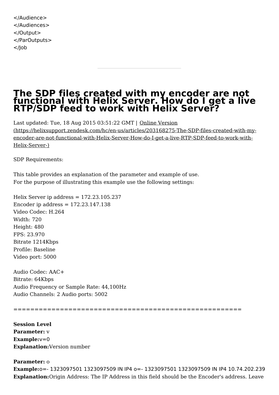</Audience> </Audiences> </Output> </ParOutputs> </Job

### <span id="page-42-0"></span>**The SDP files created with my encoder are not functional with Helix Server. How do I get a live RTP/SDP feed to work with Helix Server?**

Last updated: Tue, 18 Aug 2015 03:51:22 GMT | Online Version [\(https://helixsupport.zendesk.com/hc/en-us/articles/203168275-The-SDP-files-created-with-my](https://helixsupport.zendesk.com/hc/en-us/articles/203168275-The-SDP-files-created-with-my-encoder-are-not-functional-with-Helix-Server-How-do-I-get-a-live-RTP-SDP-feed-to-work-with-Helix-Server-)encoder-are-not-functional-with-Helix-Server-How-do-I-get-a-live-RTP-SDP-feed-to-work-with- Helix-Server-)

SDP Requirements:

This table provides an explanation of the parameter and example of use. For the purpose of illustrating this example use the following settings:

Helix Server ip address  $= 172.23.105.237$ Encoder ip address  $= 172.23.147.138$ Video Codec: H.264 Width: 720 Height: 480 FPS: 23.970 Bitrate 1214Kbps Profile: Baseline Video port: 5000

Audio Codec: AAC+ Bitrate: 64Kbps Audio Frequency or Sample Rate: 44,100Hz Audio Channels: 2 Audio ports: 5002

======================================================

**Session Level Parameter:** v **Example:**v=0 **Explanation:**Version number

#### **Parameter:** o

**Example:**o=- 1323097501 1323097509 IN IP4 o=- 1323097501 1323097509 IN IP4 10.74.202.239 **Explanation:**Origin Address: The IP Address in this field should be the Encoder's address. Leave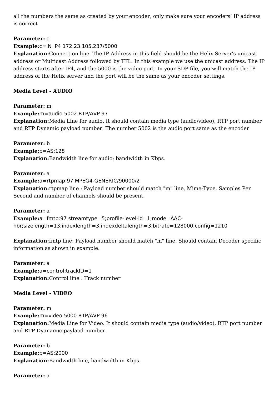all the numbers the same as created by your encoder, only make sure your encoders' IP address is correct

#### **Parameter:** c

#### **Example:**c=IN IP4 172.23.105.237/5000

**Explanation:**Connection line. The IP Address in this field should be the Helix Server's unicast address or Multicast Address followed by TTL. In this example we use the unicast address. The IP address starts after IP4, and the 5000 is the video port. In your SDP file, you will match the IP address of the Helix server and the port will be the same as your encoder settings.

#### **Media Level - AUDIO**

**Parameter:** m **Example:**m=audio 5002 RTP/AVP 97 **Explanation:**Media Line for audio. It should contain media type (audio/video), RTP port number and RTP Dynamic payload number. The number 5002 is the audio port same as the encoder

**Parameter:** b **Example:**b=AS:128 **Explanation:**Bandwidth line for audio; bandwidth in Kbps.

#### **Parameter:** a

**Example:**a=rtpmap:97 MPEG4-GENERIC/90000/2 **Explanation:**rtpmap line : Payload number should match "m" line, Mime-Type, Samples Per Second and number of channels should be present.

#### **Parameter:** a

**Example:**a=fmtp:97 streamtype=5;profile-level-id=1;mode=AAChbr;sizelength=13;indexlength=3;indexdeltalength=3;bitrate=128000;config=1210

**Explanation:**fmtp line: Payload number should match "m" line. Should contain Decoder specific information as shown in example.

**Parameter:** a **Example:**a=control:trackID=1 **Explanation:**Control line : Track number

**Media Level - VIDEO**

**Parameter:** m **Example:**m=video 5000 RTP/AVP 96 **Explanation:**Media Line for Video. It should contain media type (audio/video), RTP port number and RTP Dyanamic paylaod number.

**Parameter:** b **Example:**b=AS:2000 **Explanation:**Bandwidth line, bandwidth in Kbps.

#### **Parameter:** a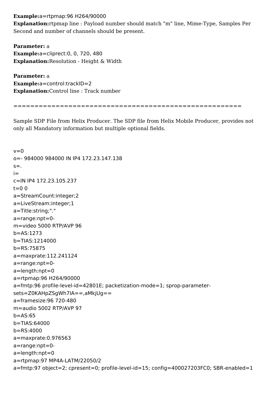**Example:**a=rtpmap:96 H264/90000

**Explanation:**rtpmap line : Payload number should match "m" line, Mime-Type, Samples Per Second and number of channels should be present.

**Parameter:** a **Example:**a=cliprect:0, 0, 720, 480 **Explanation:**Resolution - Height & Width

**Parameter:** a **Example:**a=control:trackID=2 **Explanation:**Control line : Track number

======================================================

Sample SDP File from Helix Producer. The SDP file from Helix Mobile Producer, provides not only all Mandatory information but multiple optional fields.

 $v=0$ o=- 984000 984000 IN IP4 172.23.147.138  $s =$ . i= c=IN IP4 172.23.105.237  $t=0$   $\Omega$ a=StreamCount:integer;2 a=LiveStream:integer;1 a=Title:string;"." a=range:npt=0 m=video 5000 RTP/AVP 96 b=AS:1273 b=TIAS:1214000 b=RS:75875 a=maxprate:112.241124 a=range:npt=0 a=length:npt=0 a=rtpmap:96 H264/90000 a=fmtp:96 profile-level-id=42801E; packetization-mode=1; sprop-parametersets=Z0KAHpZSgWh7IA==,aMkjUg== a=framesize:96 720-480 m=audio 5002 RTP/AVP 97 b=AS:65 b=TIAS:64000 b=RS:4000 a=maxprate:0.976563 a=range:npt=0 a=length:npt=0 a=rtpmap:97 MP4A-LATM/22050/2 a=fmtp:97 object=2; cpresent=0; profile-level-id=15; config=400027203FC0; SBR-enabled=1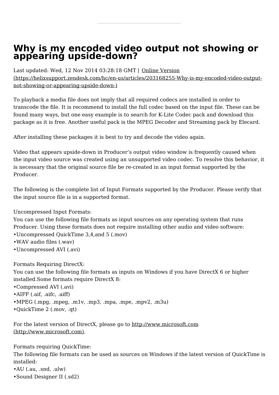## <span id="page-45-0"></span>**Why is my encoded video output not showing or appearing upside-down?**

Last updated: Wed, 12 Nov 2014 03:28:18 GMT | Online Version

[\(https://helixsupport.zendesk.com/hc/en-us/articles/203168255-Why-is-my-encoded-video-output](https://helixsupport.zendesk.com/hc/en-us/articles/203168255-Why-is-my-encoded-video-output-not-showing-or-appearing-upside-down-)not-showing-or-appearing-upside-down-)

To playback a media file does not imply that all required codecs are installed in order to transcode the file. It is recommend to install the full codec based on the input file. These can be found many ways, but one easy example is to search for K-Lite Codec pack and download this package as it is free. Another useful pack is the MPEG Decoder and Streaming pack by Elecard.

After installing these packages it is best to try and decode the video again.

Video that appears upside-down in Producer's output video window is frequently caused when the input video source was created using an unsupported video codec. To resolve this behavior, it is necessary that the original source file be re-created in an input format supported by the Producer.

The following is the complete list of Input Formats supported by the Producer. Please verify that the input source file is in a supported format.

Uncompressed Input Formats:

You can use the following file formats as input sources on any operating system that runs Producer. Using these formats does not require installing other audio and video software:

- •Uncompressed QuickTime 3,4,and 5 (.mov)
- •WAV audio files (.wav)
- •Uncompressed AVI (.avi)

Formats Requiring DirectX:

You can use the following file formats as inputs on Windows if you have DirectX 6 or higher installed.Some formats require DirectX 8:

- •Compressed AVI (.avi)
- •AIFF (.aif, .aifc, .aiff)
- •MPEG (.mpg, .mpeg, .m1v, .mp3, .mpa, .mpe, .mpv2, .m3u)
- •QuickTime 2 (.mov, .qt)

For the latest version of DirectX, please go to <http://www.microsoft.com> (http://www.microsoft.com).

Formats requiring QuickTime:

The following file formats can be used as sources on Windows if the latest version of QuickTime is installed:

•AU (.au, .snd, .ulw)

•Sound Designer II (.sd2)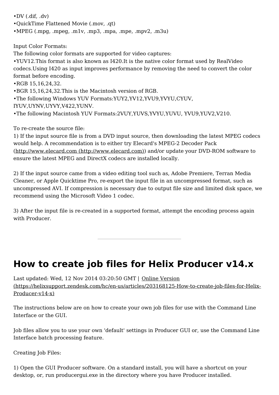•DV (.dif, .dv)

- •QuickTime Flattened Movie (.mov, .qt)
- •MPEG (.mpg, .mpeg, .m1v, .mp3, .mpa, .mpe, .mpv2, .m3u)

Input Color Formats:

The following color formats are supported for video captures:

•YUV12.This format is also known as I420.It is the native color format used by RealVideo codecs.Using I420 as input improves performance by removing the need to convert the color format before encoding.

•RGB 15,16,24,32.

•BGR 15,16,24,32.This is the Macintosh version of RGB.

•The following Windows YUV Formats:YUY2,YV12,YVU9,YVYU,CYUV,

IYUV,UYNV,UYVY,V422,YUNV.

•The following Macintosh YUV Formats:2VUY,YUVS,YVYU,YUVU, YVU9,YUV2,V210.

To re-create the source file:

1) If the input source file is from a DVD input source, then downloading the latest MPEG codecs would help. A recommendation is to either try Elecard's MPEG-2 Decoder Pack (http://www.elecard.com [\(http://www.elecard.com\)](http://www.elecard.com)) and/or update your DVD-ROM software to ensure the latest MPEG and DirectX codecs are installed locally.

2) If the input source came from a video editing tool such as, Adobe Premiere, Terran Media Cleaner, or Apple Quicktime Pro, re-export the input file in an uncompressed format, such as uncompressed AVI. If compression is necessary due to output file size and limited disk space, we recommend using the Microsoft Video 1 codec.

3) After the input file is re-created in a supported format, attempt the encoding process again with Producer.

## <span id="page-46-0"></span>**How to create job files for Helix Producer v14.x**

Last updated: Wed, 12 Nov 2014 03:20:50 GMT | Online Version [\(https://helixsupport.zendesk.com/hc/en-us/articles/203168125-How-to-create-job-files-for-Helix-](https://helixsupport.zendesk.com/hc/en-us/articles/203168125-How-to-create-job-files-for-Helix-Producer-v14-x)Producer-v14-x)

The instructions below are on how to create your own job files for use with the Command Line Interface or the GUI.

Job files allow you to use your own 'default' settings in Producer GUI or, use the Command Line Interface batch processing feature.

Creating Job Files:

1) Open the GUI Producer software. On a standard install, you will have a shortcut on your desktop, or, run producergui.exe in the directory where you have Producer installed.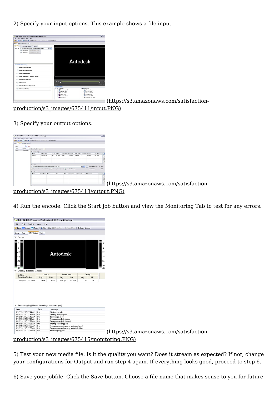2) Specify your input options. This example shows a file input.



production/s3\_images/675411/input.PNG)

3) Specify your output options.

| - Helix Mobile Producer Professional 14.0 - untitled.rpjf     |                    |                                                                                              |                    |     |           |                                                             |                 |                                    | $\Box$ ol   |                                         |
|---------------------------------------------------------------|--------------------|----------------------------------------------------------------------------------------------|--------------------|-----|-----------|-------------------------------------------------------------|-----------------|------------------------------------|-------------|-----------------------------------------|
| File Edit Control View Help                                   |                    |                                                                                              |                    |     |           |                                                             |                 |                                    |             |                                         |
| New Copen Pisare   2art 3b 2art 3b Cancel 3b Settings Advisor |                    |                                                                                              |                    |     |           |                                                             |                 |                                    |             |                                         |
| Input Output Monitoring 204L                                  |                    |                                                                                              |                    |     |           |                                                             |                 |                                    |             |                                         |
| $+1$<br>Outputs:                                              |                    |                                                                                              |                    |     |           |                                                             |                 |                                    |             |                                         |
| Type<br>Name                                                  |                    | <b>Cutted Profile:</b> Automotive Line                                                       |                    |     |           |                                                             |                 |                                    |             |                                         |
| Output 1<br>Realfeda                                          | Encoding Settings: |                                                                                              |                    |     |           |                                                             |                 |                                    |             |                                         |
|                                                               | Name               | Video Codec                                                                                  | Level Bit Rate     |     |           | Frame Rate   Frame Size   Audio Codec   Channels   Bit Rate |                 | Total Rate                         | Œ           |                                         |
|                                                               | 300k RV            | RealVideo 10                                                                                 | NA 256 Kbps 30 lps |     | No Region | Realizatio                                                  | 44 Khoo         | 300 Kbps                           |             |                                         |
|                                                               |                    |                                                                                              |                    |     |           |                                                             |                 |                                    |             |                                         |
|                                                               |                    |                                                                                              |                    |     |           |                                                             |                 |                                    |             |                                         |
|                                                               |                    |                                                                                              |                    |     |           |                                                             |                 |                                    |             |                                         |
|                                                               | <b>Output Film</b> |                                                                                              |                    |     |           |                                                             |                 |                                    |             |                                         |
|                                                               |                    | C:\Documents and Settings/\crystalt/@esktoplinput_Dutput 1.m.                                |                    |     |           |                                                             |                 | V 3 Avail Space on Disk: 756.78 GB |             |                                         |
|                                                               |                    | -   Progressive Download (HTTP Delivery)   -   Streaming Server (Hinted)   Two Pass Encoding |                    |     |           |                                                             | Estimated size: | 2.62 MB                            |             |                                         |
|                                                               | Output Servers     |                                                                                              |                    |     |           |                                                             |                 |                                    |             |                                         |
|                                                               | Name               | Steam Name   Type                                                                            | Address            | Pot | Uservanne | Password                                                    | SDP Flenane     |                                    | $\bigoplus$ |                                         |
|                                                               |                    |                                                                                              |                    |     |           |                                                             |                 |                                    |             |                                         |
|                                                               |                    |                                                                                              |                    |     |           |                                                             |                 |                                    |             |                                         |
|                                                               |                    |                                                                                              |                    |     |           |                                                             |                 |                                    |             |                                         |
|                                                               |                    |                                                                                              |                    |     |           |                                                             |                 |                                    |             |                                         |
|                                                               |                    |                                                                                              |                    |     |           |                                                             |                 |                                    |             | (https://s3.amazonaws.com/satisfaction- |
|                                                               |                    |                                                                                              |                    |     |           |                                                             |                 |                                    |             |                                         |

[production/s3\\_images/675413/output.PNG\)](https://s3.amazonaws.com/satisfaction-production/s3_images/675413/output.PNG)

4) Run the encode. Click the Start Job button and view the Monitoring Tab to test for any errors.

| New Open Save Start Job Stop Job Cancel Job Settings Advisor      |               |                        |                                                                                       |                  |            |            |
|-------------------------------------------------------------------|---------------|------------------------|---------------------------------------------------------------------------------------|------------------|------------|------------|
| Input Output Monitoring XML                                       |               |                        |                                                                                       |                  |            |            |
| $\blacktriangledown$ Preview                                      |               |                        |                                                                                       |                  |            |            |
| ▬<br>-                                                            |               |                        |                                                                                       |                  |            |            |
| 0<br>$\cdot 6$<br>$-12$<br>$-18$<br>$-24$<br>$-30.$<br>$-$ dB $-$ |               |                        | Autodesk                                                                              |                  |            | $ \circ$   |
| Encoding Broadcast Statistics:                                    |               |                        |                                                                                       |                  |            |            |
|                                                                   |               |                        |                                                                                       |                  |            |            |
| Output/                                                           | Bitrate       |                        | Frame Rate                                                                            |                  | Quality    |            |
| <b>Encoding Settings</b><br>Output 1 / 300k RV                    | Avg.<br>288 K | Max<br>288 K           | Avg.<br>30.0 fps                                                                      | Min.<br>29.6 fps | Avg.<br>76 | Min.<br>37 |
|                                                                   |               |                        |                                                                                       |                  |            |            |
| Session Logging (0 Errors, 0 Warnings, 9 Info messages)<br>Date   | Type          | Message                |                                                                                       |                  |            |            |
| 1/12/2012 10:27:14 AM Info                                        |               | Starting encode        |                                                                                       |                  |            |            |
| 1/12/2012 10:27:14 AM Info                                        |               | Starting analysis pass |                                                                                       |                  |            |            |
| 1/12/2012 10:27:15 AM Info                                        |               | Encoding started       |                                                                                       |                  |            |            |
| 1/12/2012 10:27:15 AM Info                                        |               |                        | Two pass analysis started                                                             |                  |            |            |
| 1/12/2012 10:27:23 AM Info                                        |               |                        | Two pass analysis finished                                                            |                  |            |            |
| 1/12/2012 10:27:23 AM Info                                        |               | Starting encoding pass |                                                                                       |                  |            |            |
| 1/12/2012 10:27:25 AM Info<br>1/12/2012 10:27:39 AM Info          |               |                        | Two pass encoding using analysis started<br>Two pass encoding using analysis finished |                  |            |            |

[production/s3\\_images/675415/monitoring.PNG\)](https://s3.amazonaws.com/satisfaction-production/s3_images/675415/monitoring.PNG)

5) Test your new media file. Is it the quality you want? Does it stream as expected? If not, change your configurations for Output and run step 4 again. If everything looks good, proceed to step 6.

6) Save your jobfile. Click the Save button. Choose a file name that makes sense to you for future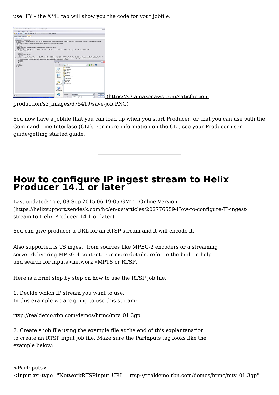use. FYI- the XML tab will show you the code for your jobfile.



You now have a jobfile that you can load up when you start Producer, or that you can use with the Command Line Interface (CLI). For more information on the CLI, see your Producer user guide/getting started guide.

## <span id="page-48-0"></span>**How to configure IP ingest stream to Helix Producer 14.1 or later**

Last updated: Tue, 08 Sep 2015 06:19:05 GMT | Online Version [\(https://helixsupport.zendesk.com/hc/en-us/articles/202776559-How-to-configure-IP-ingest](https://helixsupport.zendesk.com/hc/en-us/articles/202776559-How-to-configure-IP-ingest-stream-to-Helix-Producer-14-1-or-later)stream-to-Helix-Producer-14-1-or-later)

You can give producer a URL for an RTSP stream and it will encode it.

Also supported is TS ingest, from sources like MPEG-2 encoders or a streaming server delivering MPEG-4 content. For more details, refer to the built-in help and search for inputs>network>MPTS or RTSP.

Here is a brief step by step on how to use the RTSP job file.

1. Decide which IP stream you want to use. In this example we are going to use this stream:

rtsp://realdemo.rbn.com/demos/hrmc/mtv\_01.3gp

2. Create a job file using the example file at the end of this explantanation to create an RTSP input job file. Make sure the ParInputs tag looks like the example below: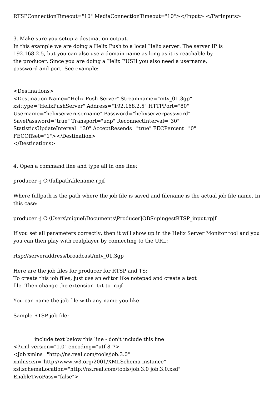3. Make sure you setup a destination output.

In this example we are doing a Helix Push to a local Helix server. The server IP is 192.168.2.5, but you can also use a domain name as long as it is reachable by the producer. Since you are doing a Helix PUSH you also need a username, password and port. See example:

<Destinations>

<Destination Name="Helix Push Server" Streamname="mtv\_01.3gp" xsi:type="HelixPushServer" Address="192.168.2.5" HTTPPort="80" Username="helixserverusername" Password="helixserverpassword" SavePassword="true" Transport="udp" ReconnectInterval="30" StatisticsUpdateInterval="30" AcceptResends="true" FECPercent="0" FECOffset="1"></Destination> </Destinations>

4. Open a command line and type all in one line:

producer -j C:\fullpath\filename.rpjf

Where fullpath is the path where the job file is saved and filename is the actual job file name. In this case:

producer -j C:\Users\miguel\Documents\ProducerJOBS\ipingestRTSP\_input.rpjf

If you set all parameters correctly, then it will show up in the Helix Server Monitor tool and you you can then play with realplayer by connecting to the URL:

rtsp://serveraddress/broadcast/mtv\_01.3gp

Here are the job files for producer for RTSP and TS: To create this job files, just use an editor like notepad and create a text file. Then change the extension .txt to .rpjf

You can name the job file with any name you like.

Sample RTSP job file:

```
==-\text{include text} below this line - don't include this line ==-=-\text{}=<?xml version="1.0" encoding="utf-8"?>
<Job xmlns="http://ns.real.com/tools/job.3.0"
xmlns:xsi="http://www.w3.org/2001/XMLSchema-instance"
xsi:schemaLocation="http://ns.real.com/tools/job.3.0 job.3.0.xsd"
EnableTwoPass="false">
```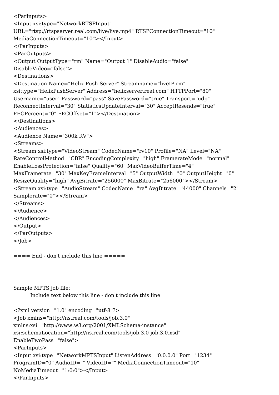```
<ParInputs>
<Input xsi:type="NetworkRTSPInput" URL="rtsp://rtspserver.real.com/live/live.mp4" RTSPConnectionTimeout="10" MediaConnectionTimeout="10"></Input>
</ParInputs>
<ParOutputs>
<Output OutputType="rm" Name="Output 1" DisableAudio="false" DisableVideo="false">
<Destinations>
<Destination Name="Helix Push Server" Streamname="liveIP.rm"
xsi:type="HelixPushServer" Address="helixserver.real.com" HTTPPort="80" Username="user" Password="pass" SavePassword="true" Transport="udp"
ReconnectInterval="30" StatisticsUpdateInterval="30" AcceptResends="true"
FECPercent="0" FECOffset="1"></Destination>
</Destinations>
<Audiences>
<Audience Name="300k RV">
<Streams>
<Stream xsi:type="VideoStream" CodecName="rv10" Profile="NA" Level="NA"
RateControlMethod="CBR" EncodingComplexity="high" FramerateMode="normal"
EnableLossProtection="false" Quality="60" MaxVideoBufferTime="4" MaxFramerate="30" MaxKeyFrameInterval="5" OutputWidth="0" OutputHeight="0"
ResizeQuality="high" AvgBitrate="256000" MaxBitrate="256000"></Stream>
<Stream xsi:type="AudioStream" CodecName="ra" AvgBitrate="44000" Channels="2"
Samplerate="0"></Stream>
</Streams>
</Audience>
</Audiences>
</Output>
</ParOutputs>
</Job>
==== End - don't include this line ====Sample MPTS job file: ==-\text{Indued} text below this line - don't include this line ==-\text{Induced}<?xml version="1.0" encoding="utf-8"?>
<Job xmlns="http://ns.real.com/tools/job.3.0"
xmlns:xsi="http://www.w3.org/2001/XMLSchema-instance"
xsi:schemaLocation="http://ns.real.com/tools/job.3.0 job.3.0.xsd"
EnableTwoPass="false">
```

```
<ParInputs>
```

```
<Input xsi:type="NetworkMPTSInput" ListenAddress="0.0.0.0" Port="1234"
```

```
ProgramID="0" AudioID="" VideoID="" MediaConnectionTimeout="10"
```

```
NoMediaTimeout="1:0:0"></Input>
```

```
</ParInputs>
```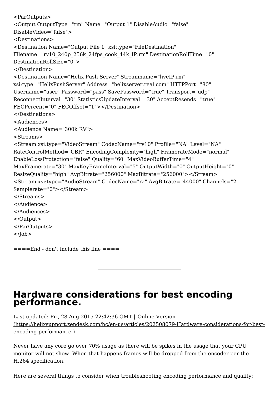```
<ParOutputs>
<Output OutputType="rm" Name="Output 1" DisableAudio="false" DisableVideo="false">
<Destinations>
<Destination Name="Output File 1" xsi:type="FileDestination"
Filename="rv10_240p_256k_24fps_cook_44k_IP.rm" DestinationRollTime="0" DestinationRollSize="0">
</Destination>
<Destination Name="Helix Push Server" Streamname="liveIP.rm"
xsi:type="HelixPushServer" Address="helixserver.real.com" HTTPPort="80" Username="user" Password="pass" SavePassword="true" Transport="udp"
ReconnectInterval="30" StatisticsUpdateInterval="30" AcceptResends="true"
FECPercent="0" FECOffset="1"></Destination>
</Destinations>
<Audiences>
<Audience Name="300k RV">
<Streams>
<Stream xsi:type="VideoStream" CodecName="rv10" Profile="NA" Level="NA"
RateControlMethod="CBR" EncodingComplexity="high" FramerateMode="normal"
EnableLossProtection="false" Quality="60" MaxVideoBufferTime="4" MaxFramerate="30" MaxKeyFrameInterval="5" OutputWidth="0" OutputHeight="0"
ResizeQuality="high" AvgBitrate="256000" MaxBitrate="256000"></Stream>
<Stream xsi:type="AudioStream" CodecName="ra" AvgBitrate="44000" Channels="2"
Samplerate="0"></Stream>
</Streams>
</Audience>
</Audiences>
</Output>
</ParOutputs>
</Job>
```

```
==-End - don't include this line = =
```
## <span id="page-51-0"></span>**Hardware considerations for best encoding performance.**

Last updated: Fri, 28 Aug 2015 22:42:36 GMT | Online Version [\(https://helixsupport.zendesk.com/hc/en-us/articles/202508079-Hardware-considerations-for-best](https://helixsupport.zendesk.com/hc/en-us/articles/202508079-Hardware-considerations-for-best-encoding-performance-)encoding-performance-)

Never have any core go over 70% usage as there will be spikes in the usage that your CPU monitor will not show. When that happens frames will be dropped from the encoder per the H.264 specification.

Here are several things to consider when troubleshooting encoding performance and quality: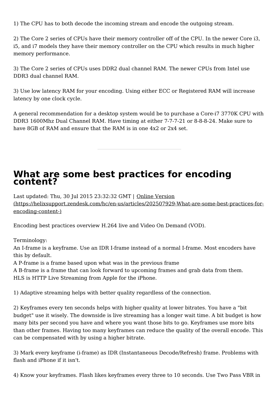1) The CPU has to both decode the incoming stream and encode the outgoing stream.

2) The Core 2 series of CPUs have their memory controller off of the CPU. In the newer Core i3, i5, and i7 models they have their memory controller on the CPU which results in much higher memory performance.

3) The Core 2 series of CPUs uses DDR2 dual channel RAM. The newer CPUs from Intel use DDR3 dual channel RAM.

3) Use low latency RAM for your encoding. Using either ECC or Registered RAM will increase latency by one clock cycle.

A general recommendation for a desktop system would be to purchase a Core-i7 3770K CPU with DDR3 1600Mhz Dual Channel RAM. Have timing at either 7-7-7-21 or 8-8-8-24. Make sure to have 8GB of RAM and ensure that the RAM is in one 4x2 or 2x4 set.

## <span id="page-52-0"></span>**What are some best practices for encoding content?**

Last updated: Thu, 30 Jul 2015 23:32:32 GMT | Online Version [\(https://helixsupport.zendesk.com/hc/en-us/articles/202507929-What-are-some-best-practices-for](https://helixsupport.zendesk.com/hc/en-us/articles/202507929-What-are-some-best-practices-for-encoding-content-)encoding-content-)

Encoding best practices overview H.264 live and Video On Demand (VOD).

Terminology:

An I-frame is a keyframe. Use an IDR I-frame instead of a normal I-frame. Most encoders have this by default.

A P-frame is a frame based upon what was in the previous frame

A B-frame is a frame that can look forward to upcoming frames and grab data from them. HLS is HTTP Live Streaming from Apple for the iPhone.

1) Adaptive streaming helps with better quality regardless of the connection.

2) Keyframes every ten seconds helps with higher quality at lower bitrates. You have a "bit budget" use it wisely. The downside is live streaming has a longer wait time. A bit budget is how many bits per second you have and where you want those bits to go. Keyframes use more bits than other frames. Having too many keyframes can reduce the quality of the overall encode. This can be compensated with by using a higher bitrate.

3) Mark every keyframe (i-frame) as IDR (Instantaneous Decode/Refresh) frame. Problems with flash and iPhone if it isn't.

4) Know your keyframes. Flash likes keyframes every three to 10 seconds. Use Two Pass VBR in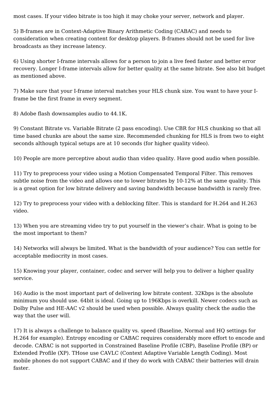most cases. If your video bitrate is too high it may choke your server, network and player.

5) B-frames are in Context-Adaptive Binary Arithmetic Coding (CABAC) and needs to consideration when creating content for desktop players. B-frames should not be used for live broadcasts as they increase latency.

6) Using shorter I-frame intervals allows for a person to join a live feed faster and better error recovery. Longer I-frame intervals allow for better quality at the same bitrate. See also bit budget as mentioned above.

7) Make sure that your I-frame interval matches your HLS chunk size. You want to have your Iframe be the first frame in every segment.

8) Adobe flash downsamples audio to 44.1K.

9) Constant Bitrate vs. Variable Bitrate (2 pass encoding). Use CBR for HLS chunking so that all time based chunks are about the same size. Recommended chunking for HLS is from two to eight seconds although typical setups are at 10 seconds (for higher quality video).

10) People are more perceptive about audio than video quality. Have good audio when possible.

11) Try to preprocess your video using a Motion Compensated Temporal Filter. This removes subtle noise from the video and allows one to lower bitrates by 10-12% at the same quality. This is a great option for low bitrate delivery and saving bandwidth because bandwidth is rarely free.

12) Try to preprocess your video with a deblocking filter. This is standard for H.264 and H.263 video.

13) When you are streaming video try to put yourself in the viewer's chair. What is going to be the most important to them?

14) Networks will always be limited. What is the bandwidth of your audience? You can settle for acceptable mediocrity in most cases.

15) Knowing your player, container, codec and server will help you to deliver a higher quality service.

16) Audio is the most important part of delivering low bitrate content. 32Kbps is the absolute minimum you should use. 64bit is ideal. Going up to 196Kbps is overkill. Newer codecs such as Dolby Pulse and HE-AAC v2 should be used when possible. Always quality check the audio the way that the user will.

17) It is always a challenge to balance quality vs. speed (Baseline, Normal and HQ settings for H.264 for example). Entropy encoding or CABAC requires considerably more effort to encode and decode. CABAC is not supported in Constrained Baseline Profile (CBP), Baseline Profile (BP) or Extended Profile (XP). THose use CAVLC (Context Adaptive Variable Length Coding). Most mobile phones do not support CABAC and if they do work with CABAC their batteries will drain faster.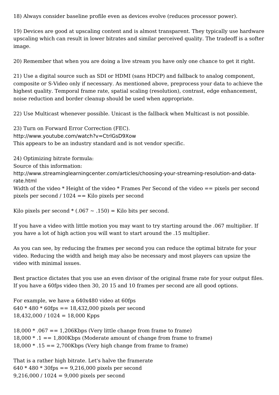18) Always consider baseline profile even as devices evolve (reduces processor power).

19) Devices are good at upscaling content and is almost transparent. They typically use hardware upscaling which can result in lower bitrates and similar perceived quality. The tradeoff is a softer image.

20) Remember that when you are doing a live stream you have only one chance to get it right.

21) Use a digital source such as SDI or HDMI (sans HDCP) and fallback to analog component, composite or S-Video only if necessary. As mentioned above, preprocess your data to achieve the highest quality. Temporal frame rate, spatial scaling (resolution), contrast, edge enhancement, noise reduction and border cleanup should be used when appropriate.

22) Use Multicast whenever possible. Unicast is the fallback when Multicast is not possible.

23) Turn on Forward Error Correction (FEC). http://www.youtube.com/watch?v=CtrlGsD9Xow This appears to be an industry standard and is not vendor specific.

24) Optimizing bitrate formula: Source of this information: http://www.streaminglearningcenter.com/articles/choosing-your-streaming-resolution-and-datarate.html

Width of the video \* Height of the video \* Frames Per Second of the video == pixels per second pixels per second / 1024 == Kilo pixels per second

Kilo pixels per second  $*(.067 \sim .150) =$  Kilo bits per second.

If you have a video with little motion you may want to try starting around the .067 multiplier. If you have a lot of high action you will want to start around the .15 multiplier.

As you can see, by reducing the frames per second you can reduce the optimal bitrate for your video. Reducing the width and heigh may also be necessary and most players can upsize the video with minimal issues.

Best practice dictates that you use an even divisor of the original frame rate for your output files. If you have a 60fps video then 30, 20 15 and 10 frames per second are all good options.

For example, we have a 640x480 video at 60fps  $640 * 480 * 60$  fps = = 18,432,000 pixels per second  $18,432,000 / 1024 = 18,000$  Kpps

 $18,000 * .067 == 1,206Kbps$  (Very little change from frame to frame)  $18,000 * .1 == 1,800Kbps$  (Moderate amount of change from frame to frame)  $18,000 * .15 == 2,700Kbps$  (Very high change from frame to frame)

That is a rather high bitrate. Let's halve the framerate  $640 * 480 * 30$  fps =  $9,216,000$  pixels per second 9,216,000 / 1024 = 9,000 pixels per second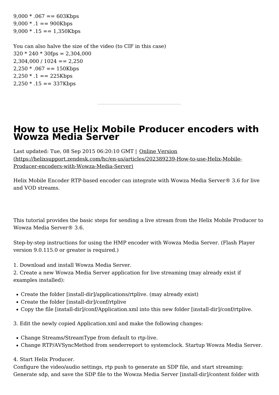$9,000 * .067 == 603Kbps$  $9,000 * .1 == 900Kbps$  $9,000 * .15 == 1,350Kbps$ 

You can also halve the size of the video (to CIF in this case)  $320 * 240 * 30$  fps = 2,304,000  $2,304,000 / 1024 = 2,250$  $2,250 * .067 == 150Kbps$  $2,250 * .1 == 225Kbps$  $2,250 * .15 == 337Kbps$ 

## <span id="page-55-0"></span>**How to use Helix Mobile Producer encoders with Wowza Media Server**

Last updated: Tue, 08 Sep 2015 06:20:10 GMT | Online Version [\(https://helixsupport.zendesk.com/hc/en-us/articles/202389239-How-to-use-Helix-Mobile-](https://helixsupport.zendesk.com/hc/en-us/articles/202389239-How-to-use-Helix-Mobile-Producer-encoders-with-Wowza-Media-Server)Producer-encoders-with-Wowza-Media-Server)

Helix Mobile Encoder RTP-based encoder can integrate with Wowza Media Server® 3.6 for live and VOD streams.

This tutorial provides the basic steps for sending a live stream from the Helix Mobile Producer to Wowza Media Server® 3.6.

Step-by-step instructions for using the HMP encoder with Wowza Media Server. (Flash Player version 9.0.115.0 or greater is required.)

1. Download and install Wowza Media Server.

2. Create a new Wowza Media Server application for live streaming (may already exist if examples installed):

- Create the folder [install-dir]/applications/rtplive. (may already exist)
- Create the folder [install-dir]/conf/rtplive
- Copy the file [install-dir]/conf/Application.xml into this new folder [install-dir]/conf/rtplive.

3. Edit the newly copied Application.xml and make the following changes:

- Change Streams/StreamType from default to rtp-live.
- Change RTP/AVSyncMethod from senderreport to systemclock. Startup Wowza Media Server.

4. Start Helix Producer.

Configure the video/audio settings, rtp push to generate an SDP file, and start streaming: Generate sdp, and save the SDP file to the Wowza Media Server [install-dir]/content folder with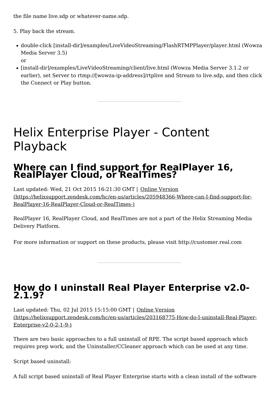the file name live.sdp or whatever-name.sdp.

5. Play back the stream.

- double-click [install-dir]/examples/LiveVideoStreaming/FlashRTMPPlayer/player.html (Wowza Media Server 3.5) or
- [install-dir]/examples/LiveVideoStreaming/client/live.html (Wowza Media Server 3.1.2 or earlier), set Server to rtmp://[wowza-ip-address]/rtplive and Stream to live.sdp, and then click the Connect or Play button.

## <span id="page-56-0"></span>Helix Enterprise Player - Content Playback

# <span id="page-56-1"></span>**Where can <sup>I</sup> find support for RealPlayer 16, RealPlayer Cloud, or RealTimes?**

Last updated: Wed, 21 Oct 2015 16:21:30 GMT | Online Version [\(https://helixsupport.zendesk.com/hc/en-us/articles/205948366-Where-can-I-find-support-for-](https://helixsupport.zendesk.com/hc/en-us/articles/205948366-Where-can-I-find-support-for-RealPlayer-16-RealPlayer-Cloud-or-RealTimes-)RealPlayer-16-RealPlayer-Cloud-or-RealTimes-)

RealPlayer 16, RealPlayer Cloud, and RealTimes are not a part of the Helix Streaming Media Delivery Platform.

For more information or support on these products, please visit http://customer.real.com

# <span id="page-56-2"></span>**How do <sup>I</sup> uninstall Real Player Enterprise v2.0- 2.1.9?**

Last updated: Thu, 02 Jul 2015 15:15:00 GMT | Online Version [\(https://helixsupport.zendesk.com/hc/en-us/articles/203168775-How-do-I-uninstall-Real-Player-](https://helixsupport.zendesk.com/hc/en-us/articles/203168775-How-do-I-uninstall-Real-Player-Enterprise-v2-0-2-1-9-)Enterprise-v2-0-2-1-9-)

There are two basic approaches to a full uninstall of RPE. The script based approach which requires prep work, and the Uninstaller/CCleaner approach which can be used at any time.

Script based uninstall:

A full script based uninstall of Real Player Enterprise starts with a clean install of the software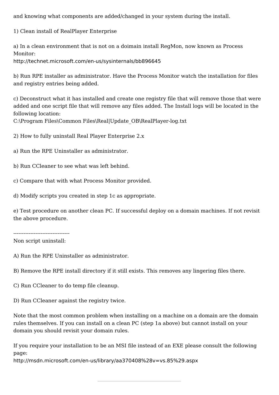and knowing what components are added/changed in your system during the install.

1) Clean install of RealPlayer Enterprise

a) In a clean environment that is not on a doimain install RegMon, now known as Process Monitor:

http://technet.microsoft.com/en-us/sysinternals/bb896645

b) Run RPE installer as administrator. Have the Process Monitor watch the installation for files and registry entries being added.

c) Deconstruct what it has installed and create one registry file that will remove those that were added and one script file that will remove any files added. The Install logs will be located in the following location:

C:\Program Files\Common Files\Real|Update\_OB\RealPlayer-log.txt

2) How to fully uninstall Real Player Enterprise 2.x

- a) Run the RPE Uninstaller as administrator.
- b) Run CCleaner to see what was left behind.
- c) Compare that with what Process Monitor provided.
- d) Modify scripts you created in step 1c as appropriate.

e) Test procedure on another clean PC. If successful deploy on a domain machines. If not revisit the above procedure.

---------------------------------

Non script uninstall:

- A) Run the RPE Uninstaller as administrator.
- B) Remove the RPE install directory if it still exists. This removes any lingering files there.
- C) Run CCleaner to do temp file cleanup.
- D) Run CCleaner against the registry twice.

Note that the most common problem when installing on a machine on a domain are the domain rules themselves. If you can install on a clean PC (step 1a above) but cannot install on your domain you should revisit your domain rules.

If you require your installation to be an MSI file instead of an EXE please consult the following page:

http://msdn.microsoft.com/en-us/library/aa370408%28v=vs.85%29.aspx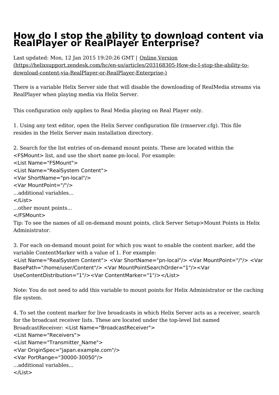## <span id="page-58-0"></span>**How do I stop the ability to download content via RealPlayer or RealPlayer Enterprise?**

Last updated: Mon, 12 Jan 2015 19:20:26 GMT | Online Version [\(https://helixsupport.zendesk.com/hc/en-us/articles/203168305-How-do-I-stop-the-ability-to](https://helixsupport.zendesk.com/hc/en-us/articles/203168305-How-do-I-stop-the-ability-to-download-content-via-RealPlayer-or-RealPlayer-Enterprise-)download-content-via-RealPlayer-or-RealPlayer-Enterprise-)

There is a variable Helix Server side that will disable the downloading of RealMedia streams via RealPlayer when playing media via Helix Server.

This configuration only applies to Real Media playing on Real Player only.

1. Using any text editor, open the Helix Server configuration file (rmserver.cfg). This file resides in the Helix Server main installation directory.

2. Search for the list entries of on-demand mount points. These are located within the <FSMount> list, and use the short name pn-local. For example:

<List Name="FSMount">

```
<List Name="RealSystem Content">
```
<Var ShortName="pn-local"/>

```
<Var MountPoint="/"/>
```
...additional variables...

</List>

...other mount points...

</FSMount>

Tip: To see the names of all on-demand mount points, click Server Setup>Mount Points in Helix Administrator.

3. For each on-demand mount point for which you want to enable the content marker, add the variable ContentMarker with a value of 1. For example:

<List Name="RealSystem Content"> <Var ShortName="pn-local"/> <Var MountPoint="/"/> <Var BasePath="/home/user/Content"/> <Var MountPointSearchOrder="1"/><Var UseContentDistribution="1"/><Var ContentMarker="1"/></List>

Note: You do not need to add this variable to mount points for Helix Administrator or the caching file system.

4. To set the content marker for live broadcasts in which Helix Server acts as a receiver, search for the broadcast receiver lists. These are located under the top-level list named BroadcastReceiver: <List Name="BroadcastReceiver">

```
<List Name="Receivers">
```

```
<List Name="Transmitter_Name">
```

```
<Var OriginSpec="japan.example.com"/>
```

```
<Var PortRange="30000-30050"/>
```

```
...additional variables...
```

```
</List>
```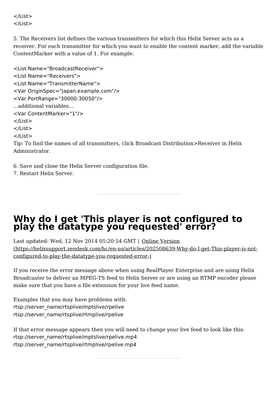</List> </List>

5. The Receivers list defines the various transmitters for which this Helix Server acts as a receiver. For each transmitter for which you want to enable the content marker, add the variable ContentMarker with a value of 1. For example:

```
<List Name="BroadcastReceiver">
<List Name="Receivers">
<List Name="TransmitterName">
<Var OriginSpec="japan.example.com"/>
<Var PortRange="30000-30050"/>
...additional variables... <Var ContentMarker="1"/>
</List>
</List>
</List>
```
Tip: To find the names of all transmitters, click Broadcast Distribution>Receiver in Helix Administrator.

- 6. Save and close the Helix Server configuration file.
- 7. Restart Helix Server.

## <span id="page-59-0"></span>**Why do I get 'This player is not configured to play the datatype you requested' error?**

Last updated: Wed, 12 Nov 2014 05:20:54 GMT | Online Version [\(https://helixsupport.zendesk.com/hc/en-us/articles/202508639-Why-do-I-get-This-player-is-not](https://helixsupport.zendesk.com/hc/en-us/articles/202508639-Why-do-I-get-This-player-is-not-configured-to-play-the-datatype-you-requested-error-)configured-to-play-the-datatype-you-requested-error-)

If you receive the error message above when using RealPlayer Enterprise and are using Helix Broadcaster to deliver an MPEG-TS feed to Helix Server or are using an RTMP encoder please make sure that you have a file extension for your live feed name.

Examples that you may have problems with: rtsp://server\_name/rtsplive/mptslive/rpelive rtsp://server\_name/rtsplive/rtmplive/rpelive

If that error message appears then you will need to change your live feed to look like this: rtsp://server\_name/rtsplive/mptslive/rpelive.mp4 rtsp://server\_name/rtsplive/rtmplive/rpelive.mp4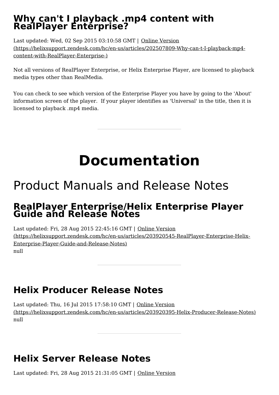## <span id="page-60-0"></span>**Why can't I playback .mp4 content with RealPlayer Enterprise?**

Last updated: Wed, 02 Sep 2015 03:10:58 GMT | Online Version [\(https://helixsupport.zendesk.com/hc/en-us/articles/202507809-Why-can-t-I-playback-mp4](https://helixsupport.zendesk.com/hc/en-us/articles/202507809-Why-can-t-I-playback-mp4-content-with-RealPlayer-Enterprise-) content-with-RealPlayer-Enterprise-)

Not all versions of RealPlayer Enterprise, or Helix Enterprise Player, are licensed to playback media types other than RealMedia.

You can check to see which version of the Enterprise Player you have by going to the 'About' information screen of the player. If your player identifies as 'Universal' in the title, then it is licensed to playback .mp4 media.

## **Documentation**

## <span id="page-60-2"></span><span id="page-60-1"></span>Product Manuals and Release Notes

## <span id="page-60-3"></span>**RealPlayer Enterprise/Helix Enterprise Player Guide and Release Notes**

Last updated: Fri, 28 Aug 2015 22:45:16 GMT | Online Version [\(https://helixsupport.zendesk.com/hc/en-us/articles/203920545-RealPlayer-Enterprise-Helix-](https://helixsupport.zendesk.com/hc/en-us/articles/203920545-RealPlayer-Enterprise-Helix-Enterprise-Player-Guide-and-Release-Notes)Enterprise-Player-Guide-and-Release-Notes) null

## <span id="page-60-4"></span>**Helix Producer Release Notes**

Last updated: Thu, 16 Jul 2015 17:58:10 GMT | Online Version [\(https://helixsupport.zendesk.com/hc/en-us/articles/203920395-Helix-Producer-Release-Notes\)](https://helixsupport.zendesk.com/hc/en-us/articles/203920395-Helix-Producer-Release-Notes) null

## <span id="page-60-5"></span>**Helix Server Release Notes**

Last [updated:](https://helixsupport.zendesk.com/hc/en-us/articles/203920365-Helix-Server-Release-Notes) Fri, 28 Aug 2015 21:31:05 GMT | Online Version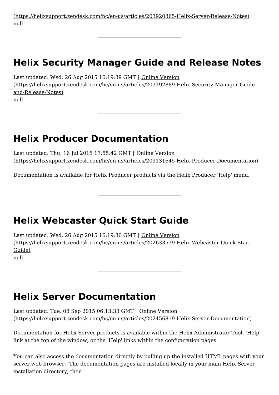(https://helixsupport.zendesk.com/hc/en-us/articles/203920365-Helix-Server-Release-Notes) null

## <span id="page-61-0"></span>**Helix Security Manager Guide and Release Notes**

Last updated: Wed, 26 Aug 2015 16:19:39 GMT | Online Version [\(https://helixsupport.zendesk.com/hc/en-us/articles/203192889-Helix-Security-Manager-Guide](https://helixsupport.zendesk.com/hc/en-us/articles/203192889-Helix-Security-Manager-Guide-and-Release-Notes)and-Release-Notes) null

## <span id="page-61-1"></span>**Helix Producer Documentation**

Last updated: Thu, 16 Jul 2015 17:55:42 GMT | Online Version [\(https://helixsupport.zendesk.com/hc/en-us/articles/203131645-Helix-Producer-Documentation\)](https://helixsupport.zendesk.com/hc/en-us/articles/203131645-Helix-Producer-Documentation)

Documentation is available for Helix Producer products via the Helix Producer 'Help' menu.

## <span id="page-61-2"></span>**Helix Webcaster Quick Start Guide**

Last updated: Wed, 26 Aug 2015 16:19:30 GMT | Online Version [\(https://helixsupport.zendesk.com/hc/en-us/articles/202633539-Helix-Webcaster-Quick-Start-](https://helixsupport.zendesk.com/hc/en-us/articles/202633539-Helix-Webcaster-Quick-Start-Guide) Guide) null

## <span id="page-61-3"></span>**Helix Server Documentation**

Last updated: Tue, 08 Sep 2015 06:13:33 GMT | Online Version [\(https://helixsupport.zendesk.com/hc/en-us/articles/202456819-Helix-Server-Documentation\)](https://helixsupport.zendesk.com/hc/en-us/articles/202456819-Helix-Server-Documentation)

Documentation for Helix Server products is available within the Helix Administrator Tool, 'Help' link at the top of the window, or the 'Help' links within the configuration pages.

You can also access the documentation directly by pulling up the installed HTML pages with your server web browser. The documentation pages are installed locally in your main Helix Server installation directory, then